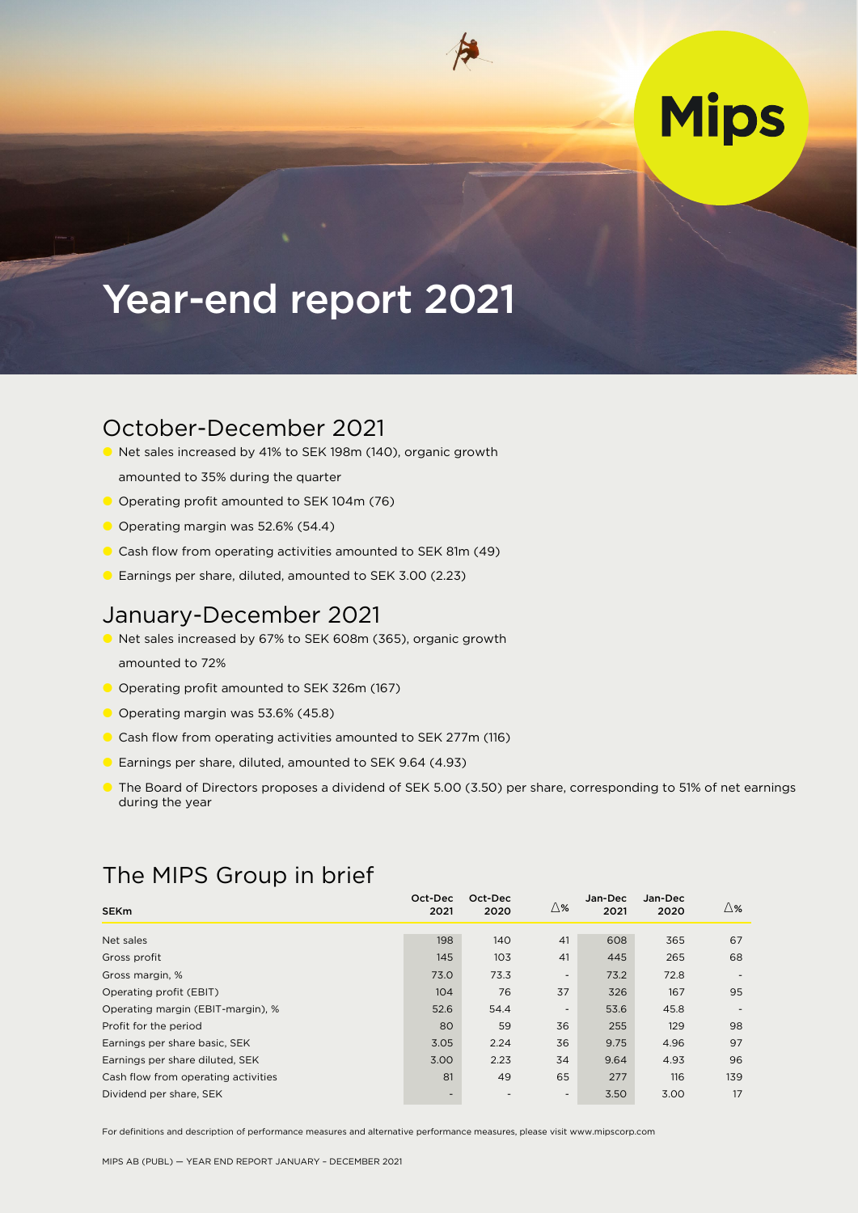# **Mips**

## Year-end report 2021

### October-December 2021

- Net sales increased by 41% to SEK 198m (140), organic growth
- amounted to 35% during the quarter
- O Operating profit amounted to SEK 104m (76)
- O Operating margin was 52.6% (54.4)
- Cash flow from operating activities amounted to SEK 81m (49)
- Earnings per share, diluted, amounted to SEK 3.00 (2.23)

### January-December 2021

- Net sales increased by 67% to SEK 608m (365), organic growth amounted to 72%
- O Operating profit amounted to SEK 326m (167)
- O Operating margin was 53.6% (45.8)
- Cash flow from operating activities amounted to SEK 277m (116)
- Earnings per share, diluted, amounted to SEK 9.64 (4.93)
- The Board of Directors proposes a dividend of SEK 5.00 (3.50) per share, corresponding to 51% of net earnings during the year

### The MIPS Group in brief

| <b>SEKm</b>                         | Oct-Dec<br>2021          | Oct-Dec<br>2020 | ∆%                       | Jan-Dec<br>2021 | Jan-Dec<br>2020 | $\triangle$ % |
|-------------------------------------|--------------------------|-----------------|--------------------------|-----------------|-----------------|---------------|
| Net sales                           | 198                      | 140             | 41                       | 608             | 365             | 67            |
| Gross profit                        | 145                      | 103             | 41                       | 445             | 265             | 68            |
| Gross margin, %                     | 73.0                     | 73.3            | $\overline{\phantom{a}}$ | 73.2            | 72.8            |               |
| Operating profit (EBIT)             | 104                      | 76              | 37                       | 326             | 167             | 95            |
| Operating margin (EBIT-margin), %   | 52.6                     | 54.4            | $\overline{\phantom{0}}$ | 53.6            | 45.8            |               |
| Profit for the period               | 80                       | 59              | 36                       | 255             | 129             | 98            |
| Earnings per share basic, SEK       | 3.05                     | 2.24            | 36                       | 9.75            | 4.96            | 97            |
| Earnings per share diluted, SEK     | 3.00                     | 2.23            | 34                       | 9.64            | 4.93            | 96            |
| Cash flow from operating activities | 81                       | 49              | 65                       | 277             | 116             | 139           |
| Dividend per share, SEK             | $\overline{\phantom{a}}$ |                 | $\sim$                   | 3.50            | 3.00            | 17            |

For definitions and description of performance measures and alternative performance measures, please visit www.mipscorp.com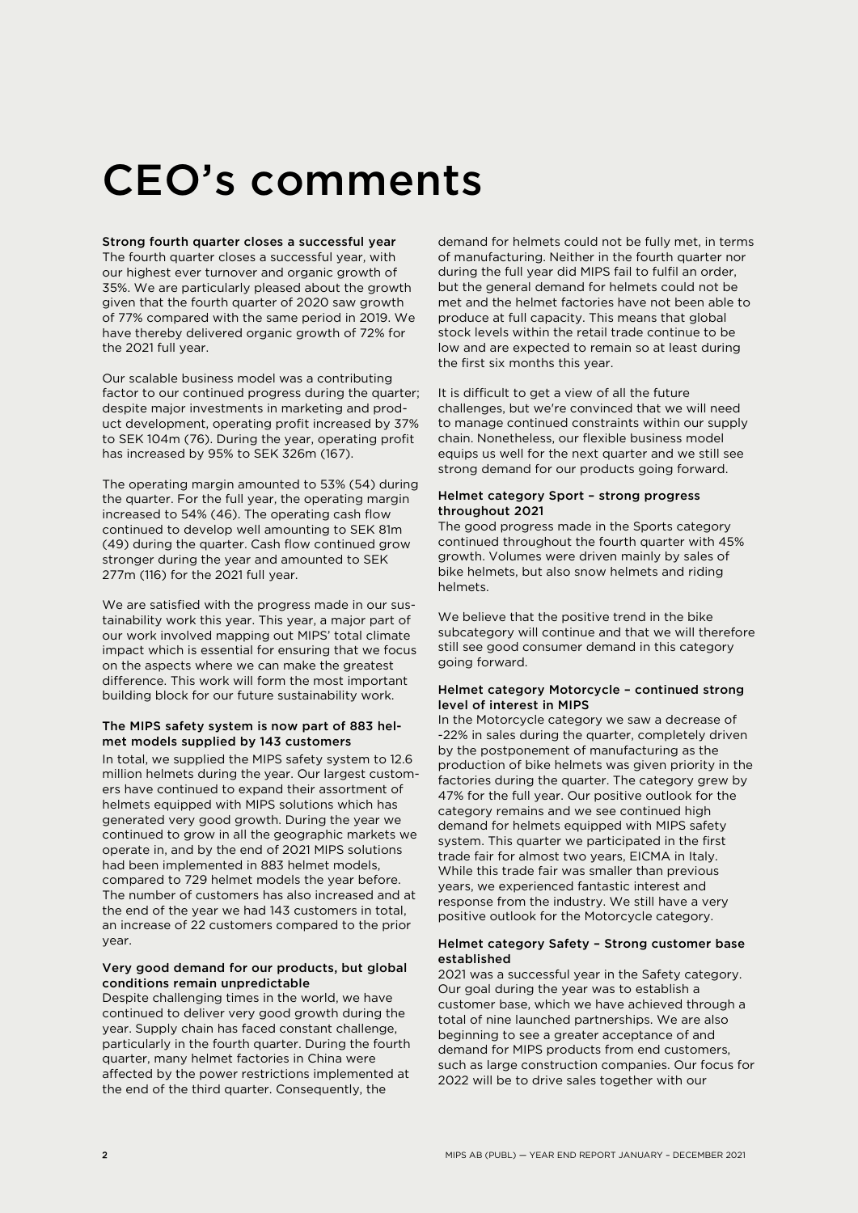# CEO's comments

#### Strong fourth quarter closes a successful year

The fourth quarter closes a successful year, with our highest ever turnover and organic growth of 35%. We are particularly pleased about the growth given that the fourth quarter of 2020 saw growth of 77% compared with the same period in 2019. We have thereby delivered organic growth of 72% for the 2021 full year.

Our scalable business model was a contributing factor to our continued progress during the quarter; despite major investments in marketing and product development, operating profit increased by 37% to SEK 104m (76). During the year, operating profit has increased by 95% to SEK 326m (167).

The operating margin amounted to 53% (54) during the quarter. For the full year, the operating margin increased to 54% (46). The operating cash flow continued to develop well amounting to SEK 81m (49) during the quarter. Cash flow continued grow stronger during the year and amounted to SEK 277m (116) for the 2021 full year.

We are satisfied with the progress made in our sustainability work this year. This year, a major part of our work involved mapping out MIPS' total climate impact which is essential for ensuring that we focus on the aspects where we can make the greatest difference. This work will form the most important building block for our future sustainability work.

#### The MIPS safety system is now part of 883 helmet models supplied by 143 customers

In total, we supplied the MIPS safety system to 12.6 million helmets during the year. Our largest customers have continued to expand their assortment of helmets equipped with MIPS solutions which has generated very good growth. During the year we continued to grow in all the geographic markets we operate in, and by the end of 2021 MIPS solutions had been implemented in 883 helmet models, compared to 729 helmet models the year before. The number of customers has also increased and at the end of the year we had 143 customers in total, an increase of 22 customers compared to the prior year.

#### Very good demand for our products, but global conditions remain unpredictable

Despite challenging times in the world, we have continued to deliver very good growth during the year. Supply chain has faced constant challenge, particularly in the fourth quarter. During the fourth quarter, many helmet factories in China were affected by the power restrictions implemented at the end of the third quarter. Consequently, the

demand for helmets could not be fully met, in terms of manufacturing. Neither in the fourth quarter nor during the full year did MIPS fail to fulfil an order, but the general demand for helmets could not be met and the helmet factories have not been able to produce at full capacity. This means that global stock levels within the retail trade continue to be low and are expected to remain so at least during the first six months this year.

It is difficult to get a view of all the future challenges, but we're convinced that we will need to manage continued constraints within our supply chain. Nonetheless, our flexible business model equips us well for the next quarter and we still see strong demand for our products going forward.

#### Helmet category Sport – strong progress throughout 2021

The good progress made in the Sports category continued throughout the fourth quarter with 45% growth. Volumes were driven mainly by sales of bike helmets, but also snow helmets and riding helmets.

We believe that the positive trend in the bike subcategory will continue and that we will therefore still see good consumer demand in this category going forward.

#### Helmet category Motorcycle – continued strong level of interest in MIPS

In the Motorcycle category we saw a decrease of -22% in sales during the quarter, completely driven by the postponement of manufacturing as the production of bike helmets was given priority in the factories during the quarter. The category grew by 47% for the full year. Our positive outlook for the category remains and we see continued high demand for helmets equipped with MIPS safety system. This quarter we participated in the first trade fair for almost two years, EICMA in Italy. While this trade fair was smaller than previous years, we experienced fantastic interest and response from the industry. We still have a very positive outlook for the Motorcycle category.

#### Helmet category Safety – Strong customer base established

2021 was a successful year in the Safety category. Our goal during the year was to establish a customer base, which we have achieved through a total of nine launched partnerships. We are also beginning to see a greater acceptance of and demand for MIPS products from end customers, such as large construction companies. Our focus for 2022 will be to drive sales together with our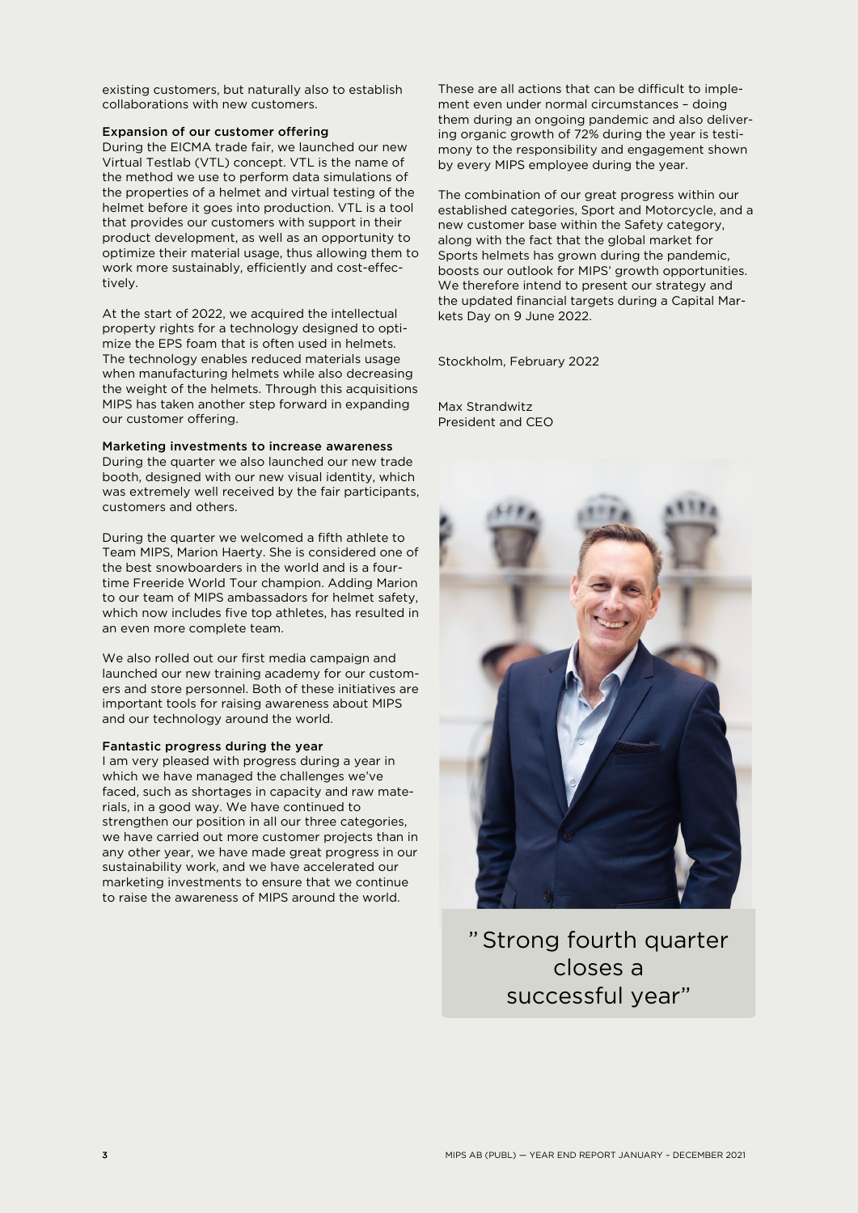existing customers, but naturally also to establish collaborations with new customers.

#### Expansion of our customer offering

During the EICMA trade fair, we launched our new Virtual Testlab (VTL) concept. VTL is the name of the method we use to perform data simulations of the properties of a helmet and virtual testing of the helmet before it goes into production. VTL is a tool that provides our customers with support in their product development, as well as an opportunity to optimize their material usage, thus allowing them to work more sustainably, efficiently and cost-effectively.

At the start of 2022, we acquired the intellectual property rights for a technology designed to optimize the EPS foam that is often used in helmets. The technology enables reduced materials usage when manufacturing helmets while also decreasing the weight of the helmets. Through this acquisitions MIPS has taken another step forward in expanding our customer offering.

#### Marketing investments to increase awareness

During the quarter we also launched our new trade booth, designed with our new visual identity, which was extremely well received by the fair participants, customers and others.

During the quarter we welcomed a fifth athlete to Team MIPS, Marion Haerty. She is considered one of the best snowboarders in the world and is a fourtime Freeride World Tour champion. Adding Marion to our team of MIPS ambassadors for helmet safety, which now includes five top athletes, has resulted in an even more complete team.

We also rolled out our first media campaign and launched our new training academy for our customers and store personnel. Both of these initiatives are important tools for raising awareness about MIPS and our technology around the world.

#### Fantastic progress during the year

I am very pleased with progress during a year in which we have managed the challenges we've faced, such as shortages in capacity and raw materials, in a good way. We have continued to strengthen our position in all our three categories, we have carried out more customer projects than in any other year, we have made great progress in our sustainability work, and we have accelerated our marketing investments to ensure that we continue to raise the awareness of MIPS around the world.

These are all actions that can be difficult to implement even under normal circumstances – doing them during an ongoing pandemic and also delivering organic growth of 72% during the year is testimony to the responsibility and engagement shown by every MIPS employee during the year.

The combination of our great progress within our established categories, Sport and Motorcycle, and a new customer base within the Safety category, along with the fact that the global market for Sports helmets has grown during the pandemic, boosts our outlook for MIPS' growth opportunities. We therefore intend to present our strategy and the updated financial targets during a Capital Markets Day on 9 June 2022.

Stockholm, February 2022

Max Strandwitz President and CEO



"Strong fourth quarter closes a successful year"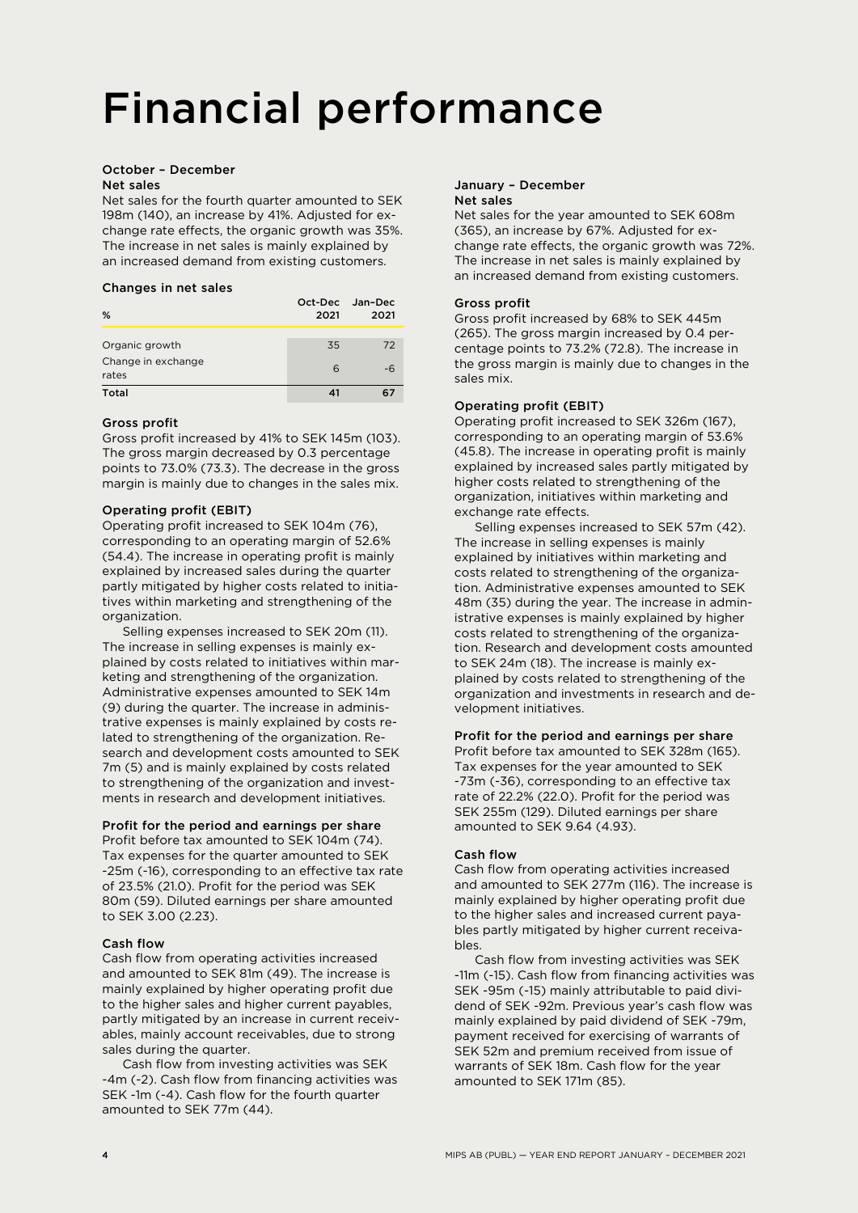# Financial performance

#### October – December Net sales

Net sales for the fourth quarter amounted to SEK 198m (140), an increase by 41%. Adjusted for exchange rate effects, the organic growth was 35%. The increase in net sales is mainly explained by an increased demand from existing customers.

#### Changes in net sales

| %                           | Oct-Dec<br>2021 | Jan-Dec<br>2021 |
|-----------------------------|-----------------|-----------------|
|                             |                 |                 |
| Organic growth              | 35              | 72              |
| Change in exchange<br>rates | 6               |                 |
| Total                       |                 |                 |

#### Gross profit

Gross profit increased by 41% to SEK 145m (103). The gross margin decreased by 0.3 percentage points to 73.0% (73.3). The decrease in the gross margin is mainly due to changes in the sales mix.

#### Operating profit (EBIT)

Operating profit increased to SEK 104m (76), corresponding to an operating margin of 52.6% (54.4). The increase in operating profit is mainly explained by increased sales during the quarter partly mitigated by higher costs related to initiatives within marketing and strengthening of the organization.

Selling expenses increased to SEK 20m (11). The increase in selling expenses is mainly explained by costs related to initiatives within marketing and strengthening of the organization. Administrative expenses amounted to SEK 14m (9) during the quarter. The increase in administrative expenses is mainly explained by costs related to strengthening of the organization. Research and development costs amounted to SEK 7m (5) and is mainly explained by costs related to strengthening of the organization and investments in research and development initiatives.

#### Profit for the period and earnings per share

Profit before tax amounted to SEK 104m (74). Tax expenses for the quarter amounted to SEK -25m (-16), corresponding to an effective tax rate of 23.5% (21.0). Profit for the period was SEK 80m (59). Diluted earnings per share amounted to SEK 3.00 (2.23).

#### Cash flow

Cash flow from operating activities increased and amounted to SEK 81m (49). The increase is mainly explained by higher operating profit due to the higher sales and higher current payables, partly mitigated by an increase in current receivables, mainly account receivables, due to strong sales during the quarter.

Cash flow from investing activities was SEK -4m (-2). Cash flow from financing activities was SEK -1m (-4). Cash flow for the fourth quarter amounted to SEK 77m (44).

#### January – December Net sales

Net sales for the year amounted to SEK 608m (365), an increase by 67%. Adjusted for exchange rate effects, the organic growth was 72%. The increase in net sales is mainly explained by an increased demand from existing customers.

#### Gross profit

Gross profit increased by 68% to SEK 445m (265). The gross margin increased by 0.4 percentage points to 73.2% (72.8). The increase in the gross margin is mainly due to changes in the sales mix.

#### Operating profit (EBIT)

Operating profit increased to SEK 326m (167), corresponding to an operating margin of 53.6% (45.8). The increase in operating profit is mainly explained by increased sales partly mitigated by higher costs related to strengthening of the organization, initiatives within marketing and exchange rate effects.

Selling expenses increased to SEK 57m (42). The increase in selling expenses is mainly explained by initiatives within marketing and costs related to strengthening of the organization. Administrative expenses amounted to SEK 48m (35) during the year. The increase in administrative expenses is mainly explained by higher costs related to strengthening of the organization. Research and development costs amounted to SEK 24m (18). The increase is mainly explained by costs related to strengthening of the organization and investments in research and development initiatives.

#### Profit for the period and earnings per share

Profit before tax amounted to SEK 328m (165). Tax expenses for the year amounted to SEK -73m (-36), corresponding to an effective tax rate of 22.2% (22.0). Profit for the period was SEK 255m (129). Diluted earnings per share amounted to SEK 9.64 (4.93).

#### Cash flow

Cash flow from operating activities increased and amounted to SEK 277m (116). The increase is mainly explained by higher operating profit due to the higher sales and increased current payables partly mitigated by higher current receivables.

Cash flow from investing activities was SEK -11m (-15). Cash flow from financing activities was SEK -95m (-15) mainly attributable to paid dividend of SEK -92m. Previous year's cash flow was mainly explained by paid dividend of SEK -79m, payment received for exercising of warrants of SEK 52m and premium received from issue of warrants of SEK 18m. Cash flow for the year amounted to SEK 171m (85).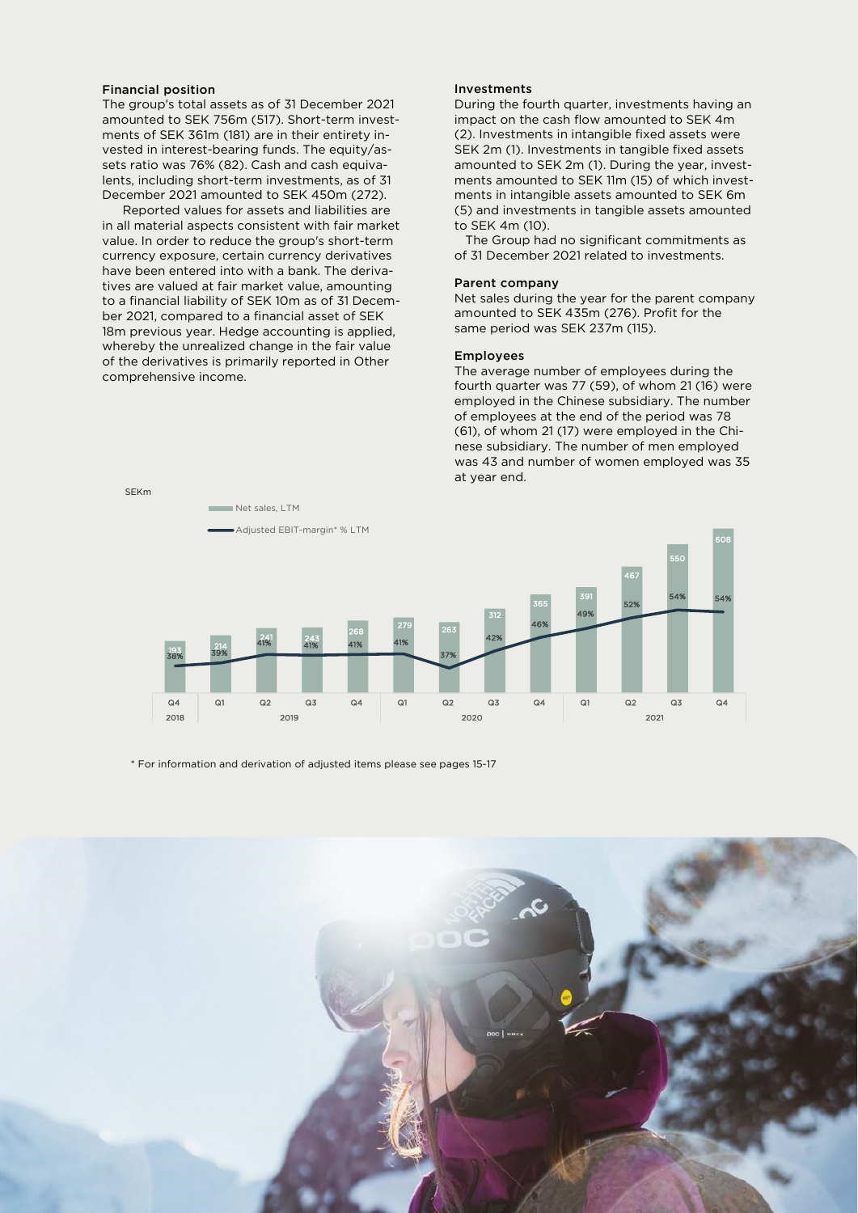#### Financial position

The group's total assets as of 31 December 2021 amounted to SEK 756m (517). Short-term investments of SEK 361m (181) are in their entirety invested in interest-bearing funds. The equity/assets ratio was 76% (82). Cash and cash equivalents, including short-term investments, as of 31 December 2021 amounted to SEK 450m (272).

Reported values for assets and liabilities are in all material aspects consistent with fair market value. In order to reduce the group's short-term currency exposure, certain currency derivatives have been entered into with a bank. The derivatives are valued at fair market value, amounting to a financial liability of SEK 10m as of 31 December 2021, compared to a financial asset of SEK 18m previous year. Hedge accounting is applied, whereby the unrealized change in the fair value of the derivatives is primarily reported in Other comprehensive income.

#### Investments

During the fourth quarter, investments having an impact on the cash flow amounted to SEK 4m (2). Investments in intangible fixed assets were SEK 2m (1). Investments in tangible fixed assets amounted to SEK 2m (1). During the year, investments amounted to SEK 11m (15) of which investments in intangible assets amounted to SEK 6m (5) and investments in tangible assets amounted to SEK 4m (10).

 The Group had no significant commitments as of 31 December 2021 related to investments.

#### Parent company

Net sales during the year for the parent company amounted to SEK 435m (276). Profit for the same period was SEK 237m (115).

#### Employees

The average number of employees during the fourth quarter was 77 (59), of whom 21 (16) were employed in the Chinese subsidiary. The number of employees at the end of the period was 78 (61), of whom 21 (17) were employed in the Chinese subsidiary. The number of men employed was 43 and number of women employed was 35 at year end.



\* For information and derivation of adjusted items please see pages 15-17

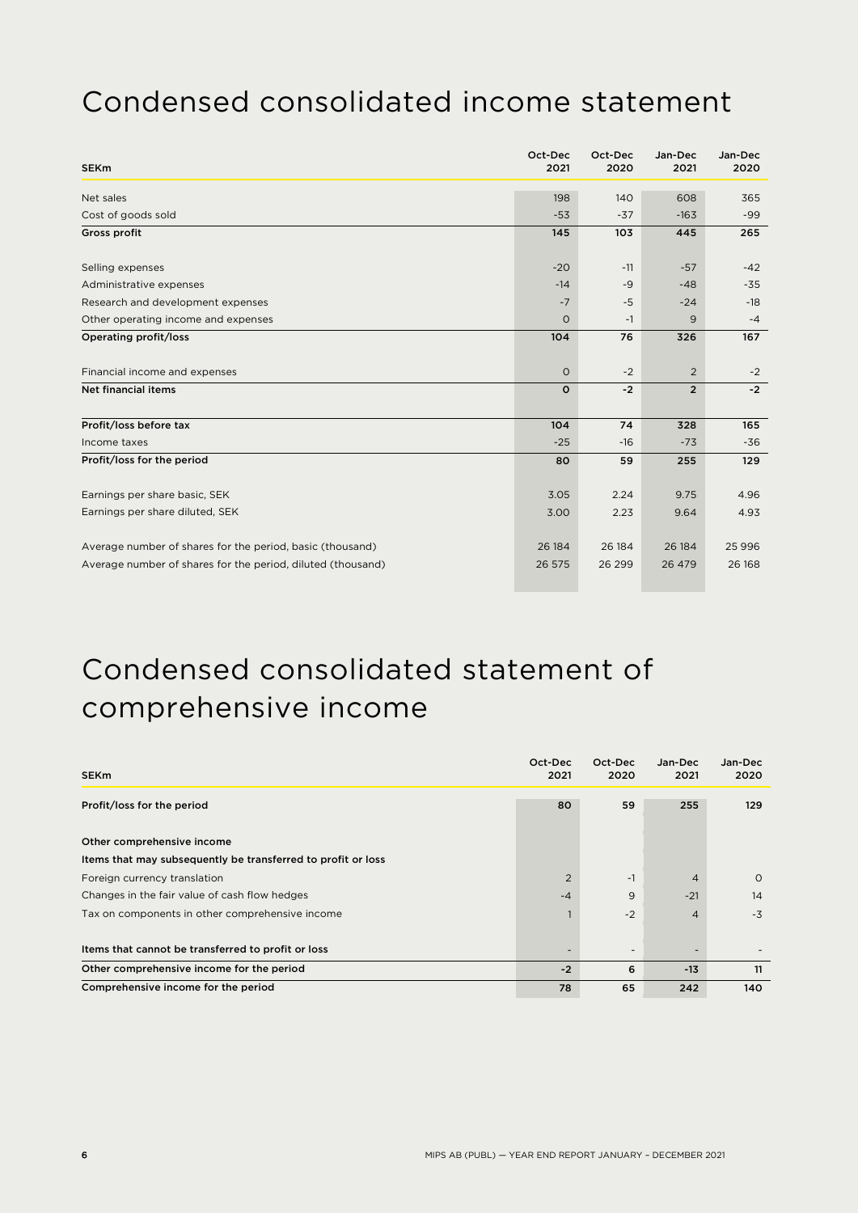### Condensed consolidated income statement

| <b>SEKm</b>                                                 | Oct-Dec<br>2021 | Oct-Dec<br>2020 | Jan-Dec<br>2021 | Jan-Dec<br>2020 |
|-------------------------------------------------------------|-----------------|-----------------|-----------------|-----------------|
| Net sales                                                   | 198             | 140             | 608             | 365             |
| Cost of goods sold                                          | $-53$           | $-37$           | $-163$          | $-99$           |
| Gross profit                                                | 145             | 103             | 445             | 265             |
|                                                             |                 |                 |                 |                 |
| Selling expenses                                            | $-20$           | $-11$           | $-57$           | $-42$           |
| Administrative expenses                                     | $-14$           | $-9$            | $-48$           | $-35$           |
| Research and development expenses                           | $-7$            | $-5$            | $-24$           | $-18$           |
| Other operating income and expenses                         | $\circ$         | $-1$            | 9               | $-4$            |
| Operating profit/loss                                       | 104             | 76              | 326             | 167             |
| Financial income and expenses                               | $\circ$         | $-2$            | 2               | $-2$            |
| <b>Net financial items</b>                                  | $\Omega$        | $-2$            | $\overline{2}$  | $-2$            |
| Profit/loss before tax                                      | 104             | 74              | 328             | 165             |
| Income taxes                                                | $-25$           | $-16$           | $-73$           | $-36$           |
| Profit/loss for the period                                  | 80              | 59              | 255             | 129             |
|                                                             |                 | 2.24            |                 | 4.96            |
| Earnings per share basic, SEK                               | 3.05            |                 | 9.75            |                 |
| Earnings per share diluted, SEK                             | 3.00            | 2.23            | 9.64            | 4.93            |
| Average number of shares for the period, basic (thousand)   | 26 184          | 26 184          | 26 184          | 25 9 96         |
| Average number of shares for the period, diluted (thousand) | 26 575          | 26 29 9         | 26 479          | 26 168          |

### Condensed consolidated statement of comprehensive income

| <b>SEKm</b>                                                  | Oct-Dec<br>2021 | Oct-Dec<br>2020          | Jan-Dec<br>2021 | Jan-Dec<br>2020 |
|--------------------------------------------------------------|-----------------|--------------------------|-----------------|-----------------|
| Profit/loss for the period                                   | 80              | 59                       | 255             | 129             |
| Other comprehensive income                                   |                 |                          |                 |                 |
| Items that may subsequently be transferred to profit or loss |                 |                          |                 |                 |
| Foreign currency translation                                 | 2               | $-1$                     | $\overline{4}$  | $\circ$         |
| Changes in the fair value of cash flow hedges                | $-4$            | 9                        | $-21$           | 14              |
| Tax on components in other comprehensive income              |                 | $-2$                     | $\overline{4}$  | $-3$            |
| Items that cannot be transferred to profit or loss           |                 | $\overline{\phantom{a}}$ |                 |                 |
| Other comprehensive income for the period                    | $-2$            | 6                        | $-13$           | 11              |
| Comprehensive income for the period                          | 78              | 65                       | 242             | 140             |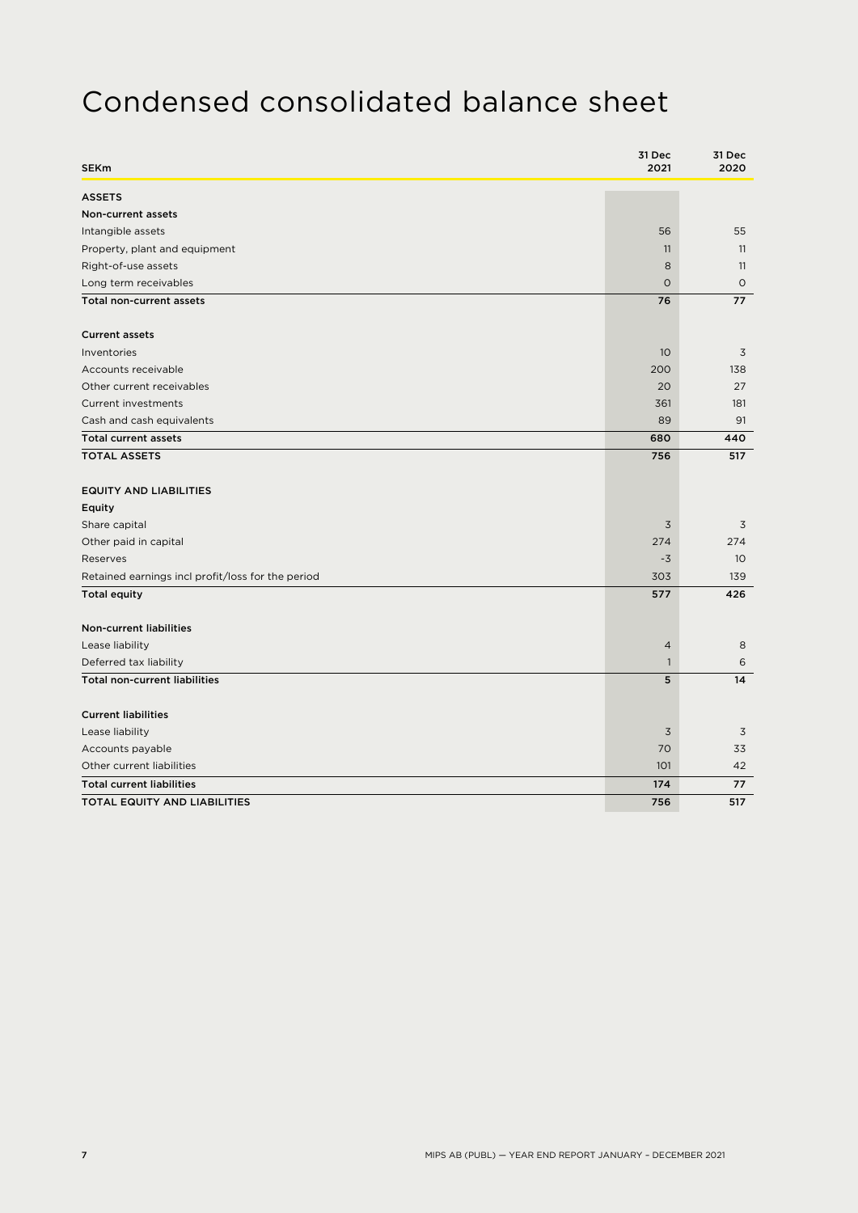### Condensed consolidated balance sheet

| <b>SEKm</b>                                       | 31 Dec<br>2021 | 31 Dec<br>2020  |
|---------------------------------------------------|----------------|-----------------|
| <b>ASSETS</b>                                     |                |                 |
| Non-current assets                                |                |                 |
| Intangible assets                                 | 56             | 55              |
| Property, plant and equipment                     | 11             | 11              |
| Right-of-use assets                               | 8              | 11              |
| Long term receivables                             | $\circ$        | $\circ$         |
| Total non-current assets                          | 76             | 77              |
| <b>Current assets</b>                             |                |                 |
| Inventories                                       | 10             | 3               |
| Accounts receivable                               | 200            | 138             |
| Other current receivables                         | 20             | 27              |
| Current investments                               | 361            | 181             |
| Cash and cash equivalents                         | 89             | 91              |
| <b>Total current assets</b>                       | 680            | 440             |
| <b>TOTAL ASSETS</b>                               | 756            | 517             |
| <b>EQUITY AND LIABILITIES</b>                     |                |                 |
| Equity                                            |                |                 |
| Share capital                                     | $\overline{3}$ | 3               |
| Other paid in capital                             | 274            | 274             |
| Reserves                                          | $-3$           | 10 <sup>°</sup> |
| Retained earnings incl profit/loss for the period | 303            | 139             |
| <b>Total equity</b>                               | 577            | 426             |
| Non-current liabilities                           |                |                 |
| Lease liability                                   | $\overline{4}$ | 8               |
| Deferred tax liability                            | $\mathbf{1}$   | 6               |
| <b>Total non-current liabilities</b>              | 5              | 14              |
| <b>Current liabilities</b>                        |                |                 |
| Lease liability                                   | $\overline{3}$ | 3               |
| Accounts payable                                  | 70             | 33              |
| Other current liabilities                         | 101            | 42              |
| <b>Total current liabilities</b>                  | 174            | 77              |
| <b>TOTAL EQUITY AND LIABILITIES</b>               | 756            | 517             |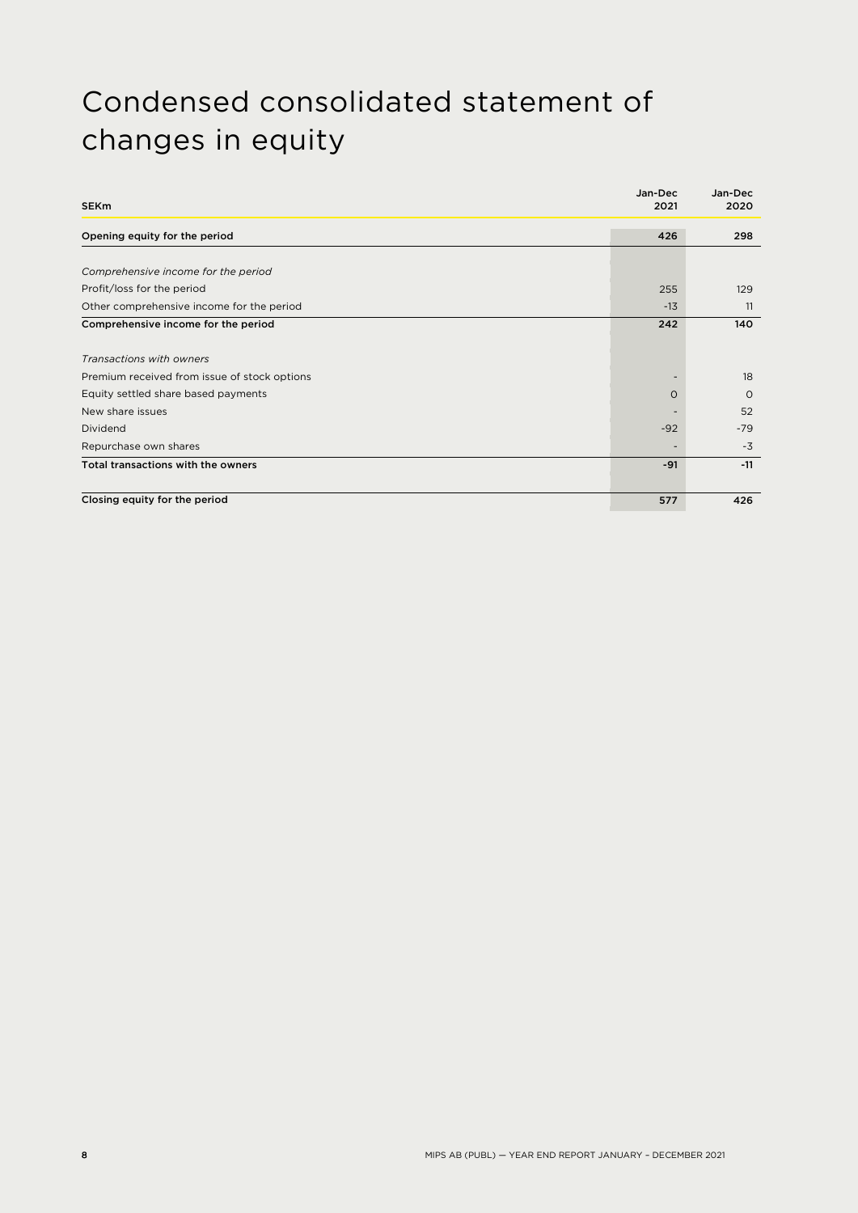### Condensed consolidated statement of changes in equity

| <b>SEKm</b>                                  | Jan-Dec<br>2021 | Jan-Dec<br>2020 |
|----------------------------------------------|-----------------|-----------------|
| Opening equity for the period                | 426             | 298             |
|                                              |                 |                 |
| Comprehensive income for the period          |                 |                 |
| Profit/loss for the period                   | 255             | 129             |
| Other comprehensive income for the period    | $-13$           | 11              |
| Comprehensive income for the period          | 242             | 140             |
| Transactions with owners                     |                 |                 |
| Premium received from issue of stock options |                 | 18              |
| Equity settled share based payments          | $\Omega$        | $\Omega$        |
| New share issues                             |                 | 52              |
| Dividend                                     | $-92$           | $-79$           |
| Repurchase own shares                        |                 | $-3$            |
| Total transactions with the owners           | $-91$           | $-11$           |
| Closing equity for the period                | 577             | 426             |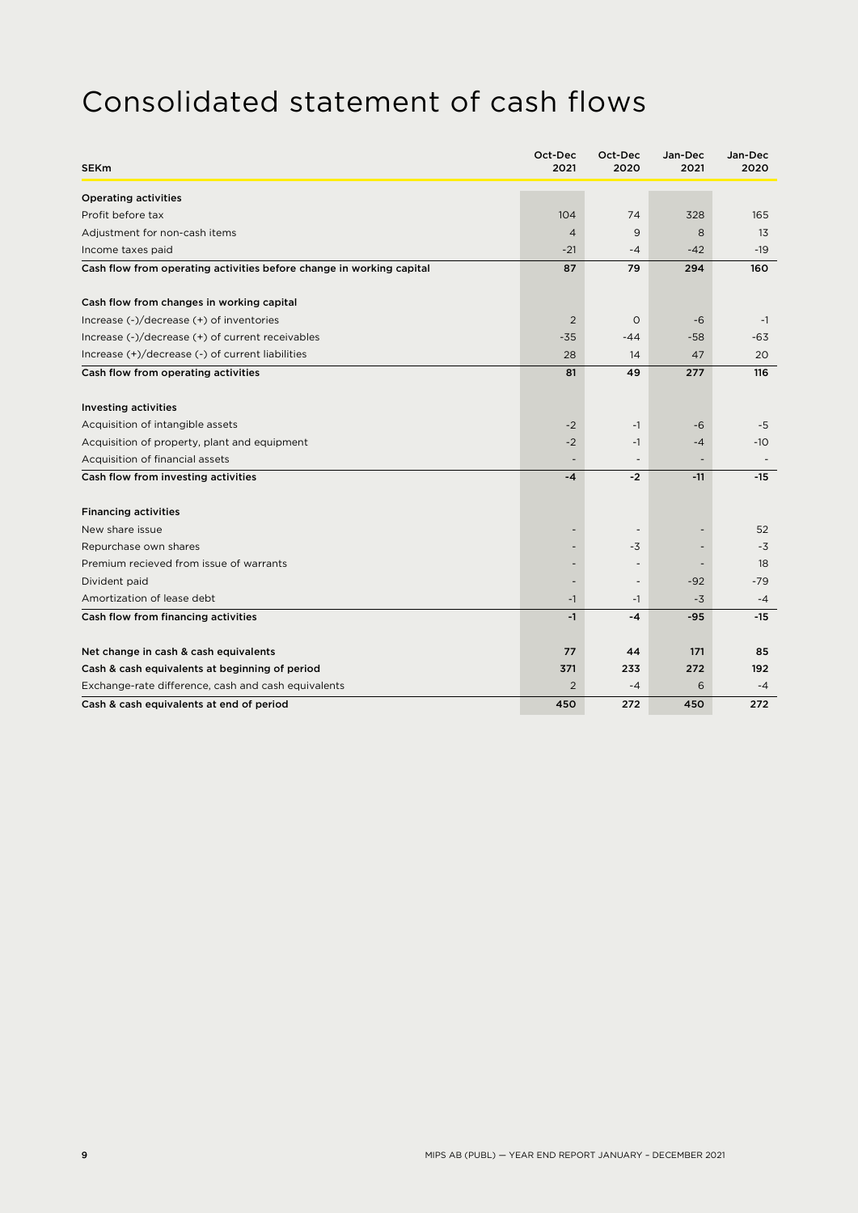### Consolidated statement of cash flows

| <b>SEKm</b>                                                          | Oct-Dec<br>2021 | Oct-Dec<br>2020          | Jan-Dec<br>2021 | Jan-Dec<br>2020 |
|----------------------------------------------------------------------|-----------------|--------------------------|-----------------|-----------------|
| <b>Operating activities</b>                                          |                 |                          |                 |                 |
| Profit before tax                                                    | 104             | 74                       | 328             | 165             |
| Adjustment for non-cash items                                        | $\overline{4}$  | 9                        | 8               | 13              |
| Income taxes paid                                                    | $-21$           | $-4$                     | $-42$           | $-19$           |
| Cash flow from operating activities before change in working capital | 87              | 79                       | 294             | 160             |
| Cash flow from changes in working capital                            |                 |                          |                 |                 |
| Increase (-)/decrease (+) of inventories                             | $\overline{2}$  | $\circ$                  | $-6$            | $-1$            |
| Increase (-)/decrease (+) of current receivables                     | $-35$           | $-44$                    | $-58$           | $-63$           |
| Increase (+)/decrease (-) of current liabilities                     | 28              | 14                       | 47              | 20              |
| Cash flow from operating activities                                  | 81              | 49                       | 277             | 116             |
| <b>Investing activities</b>                                          |                 |                          |                 |                 |
| Acquisition of intangible assets                                     | $-2$            | $-1$                     | $-6$            | $-5$            |
| Acquisition of property, plant and equipment                         | $-2$            | $-1$                     | $-4$            | $-10$           |
| Acquisition of financial assets                                      |                 |                          |                 |                 |
| Cash flow from investing activities                                  | $-4$            | $-2$                     | $-11$           | $-15$           |
| <b>Financing activities</b>                                          |                 |                          |                 |                 |
| New share issue                                                      |                 | $\overline{\phantom{a}}$ |                 | 52              |
| Repurchase own shares                                                |                 | -3                       |                 | $-3$            |
| Premium recieved from issue of warrants                              |                 | $\overline{\phantom{a}}$ |                 | 18              |
| Divident paid                                                        |                 | $\overline{a}$           | $-92$           | $-79$           |
| Amortization of lease debt                                           | $-1$            | $-1$                     | $-3$            | $-4$            |
| Cash flow from financing activities                                  | $-1$            | $-4$                     | $-95$           | $-15$           |
| Net change in cash & cash equivalents                                | 77              | 44                       | 171             | 85              |
| Cash & cash equivalents at beginning of period                       | 371             | 233                      | 272             | 192             |
| Exchange-rate difference, cash and cash equivalents                  | $\overline{2}$  | $-4$                     | 6               | $-4$            |
| Cash & cash equivalents at end of period                             | 450             | 272                      | 450             | 272             |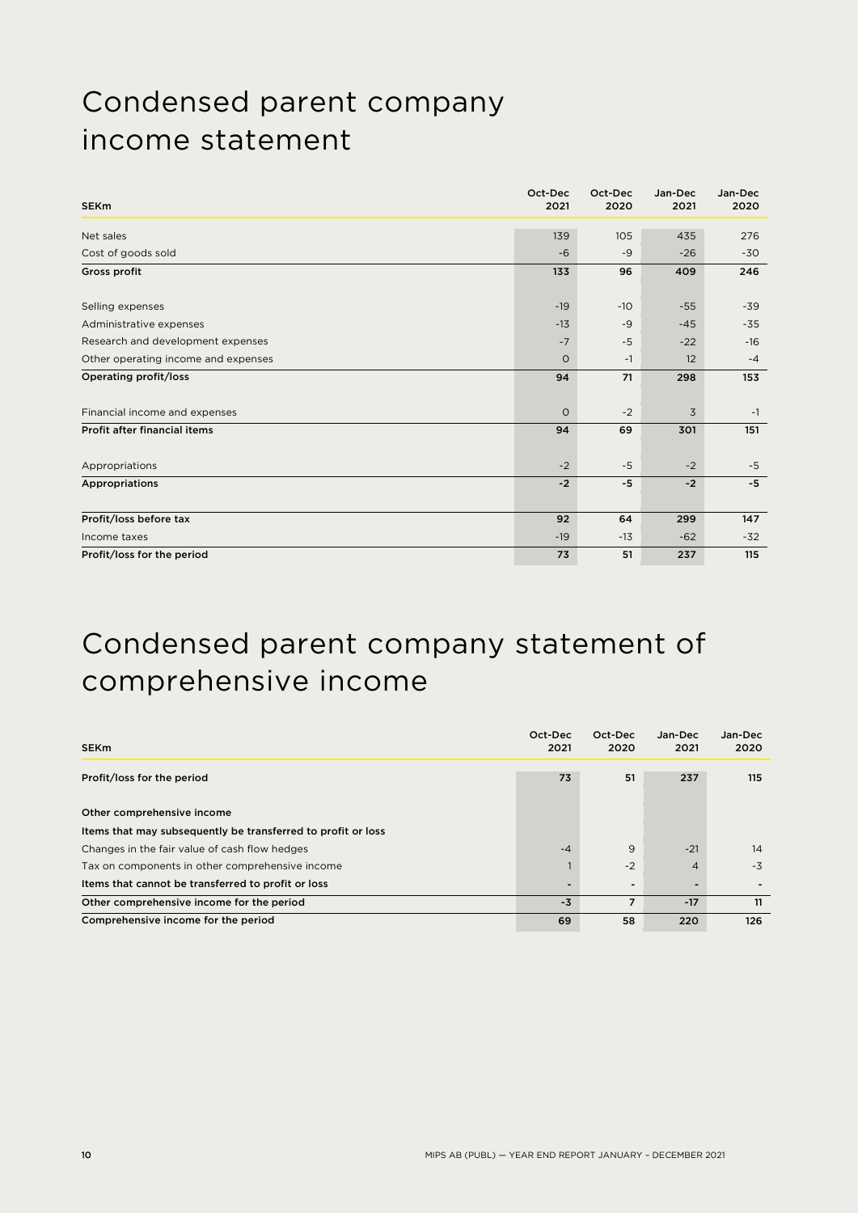### Condensed parent company income statement

| <b>SEKm</b>                         | Oct-Dec<br>2021 | Oct-Dec<br>2020 | Jan-Dec<br>2021 | Jan-Dec<br>2020 |
|-------------------------------------|-----------------|-----------------|-----------------|-----------------|
| Net sales                           | 139             | 105             | 435             | 276             |
| Cost of goods sold                  | $-6$            | $-9$            | $-26$           | $-30$           |
| Gross profit                        | 133             | 96              | 409             | 246             |
| Selling expenses                    | $-19$           | $-10$           | $-55$           | $-39$           |
| Administrative expenses             | $-13$           | $-9$            | $-45$           | $-35$           |
| Research and development expenses   | $-7$            | $-5$            | $-22$           | $-16$           |
| Other operating income and expenses | $\circ$         | $-1$            | 12              | $-4$            |
| Operating profit/loss               | 94              | 71              | 298             | 153             |
| Financial income and expenses       | $\circ$         | $-2$            | 3               | $-1$            |
| Profit after financial items        | 94              | 69              | 301             | 151             |
| Appropriations                      | $-2$            | $-5$            | $-2$            | $-5$            |
| Appropriations                      | $-2$            | $-5$            | $-2$            | $-5$            |
|                                     |                 |                 |                 |                 |
| Profit/loss before tax              | 92              | 64              | 299             | 147             |
| Income taxes                        | $-19$           | $-13$           | $-62$           | $-32$           |
| Profit/loss for the period          | 73              | 51              | 237             | 115             |

### Condensed parent company statement of comprehensive income

| <b>SEKm</b>                                                  | Oct-Dec<br>2021 | Oct-Dec<br>2020 | Jan-Dec<br>2021 | Jan-Dec<br>2020 |
|--------------------------------------------------------------|-----------------|-----------------|-----------------|-----------------|
| Profit/loss for the period                                   | 73              | 51              | 237             | 115             |
| Other comprehensive income                                   |                 |                 |                 |                 |
| Items that may subsequently be transferred to profit or loss |                 |                 |                 |                 |
| Changes in the fair value of cash flow hedges                | $-4$            | 9               | $-21$           | 14              |
| Tax on components in other comprehensive income              |                 | $-2$            | $\overline{4}$  | $-3$            |
| Items that cannot be transferred to profit or loss           |                 |                 |                 |                 |
| Other comprehensive income for the period                    | $-3$            | $\overline{7}$  | $-17$           | 11              |
| Comprehensive income for the period                          | 69              | 58              | 220             | 126             |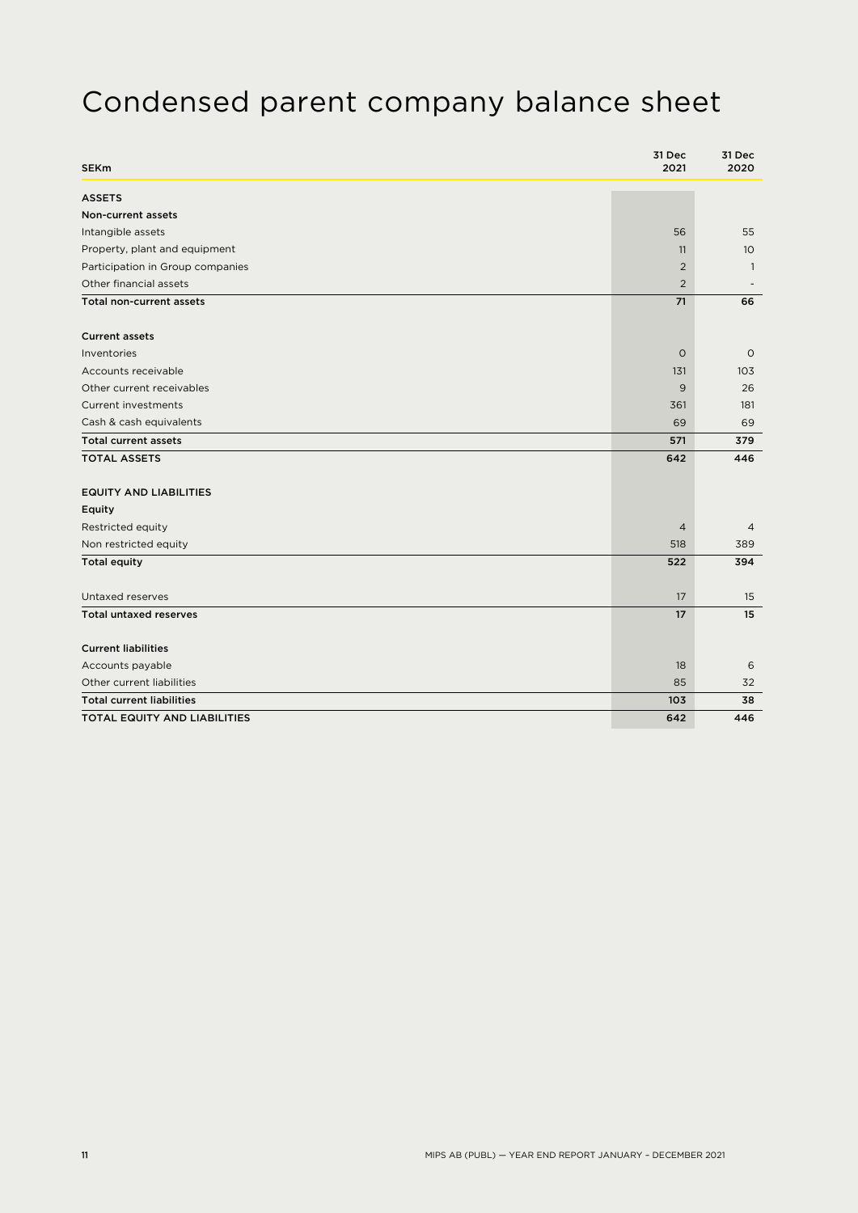### Condensed parent company balance sheet

| <b>SEKm</b>                      | 31 Dec<br>2021 | 31 Dec<br>2020   |
|----------------------------------|----------------|------------------|
| <b>ASSETS</b>                    |                |                  |
| Non-current assets               |                |                  |
| Intangible assets                | 56             | 55               |
| Property, plant and equipment    | 11             | 10 <sup>°</sup>  |
| Participation in Group companies | $\overline{2}$ | $\overline{1}$   |
| Other financial assets           | $\overline{2}$ |                  |
| Total non-current assets         | 71             | 66               |
| <b>Current assets</b>            |                |                  |
| Inventories                      | $\circ$        | $\circ$          |
| Accounts receivable              | 131            | 103              |
| Other current receivables        | 9              | 26               |
| <b>Current investments</b>       | 361            | 181              |
| Cash & cash equivalents          | 69             | 69               |
| <b>Total current assets</b>      | 571            | 379              |
| <b>TOTAL ASSETS</b>              | 642            | 446              |
| <b>EQUITY AND LIABILITIES</b>    |                |                  |
| Equity                           |                |                  |
| Restricted equity                | $\overline{4}$ | $\overline{4}$   |
| Non restricted equity            | 518            | 389              |
| <b>Total equity</b>              | 522            | 394              |
| Untaxed reserves                 | 17             | 15               |
| <b>Total untaxed reserves</b>    | 17             | 15 <sup>15</sup> |
| <b>Current liabilities</b>       |                |                  |
| Accounts payable                 | 18             | 6                |
| Other current liabilities        | 85             | 32               |
| <b>Total current liabilities</b> | 103            | 38               |
| TOTAL EQUITY AND LIABILITIES     | 642            | 446              |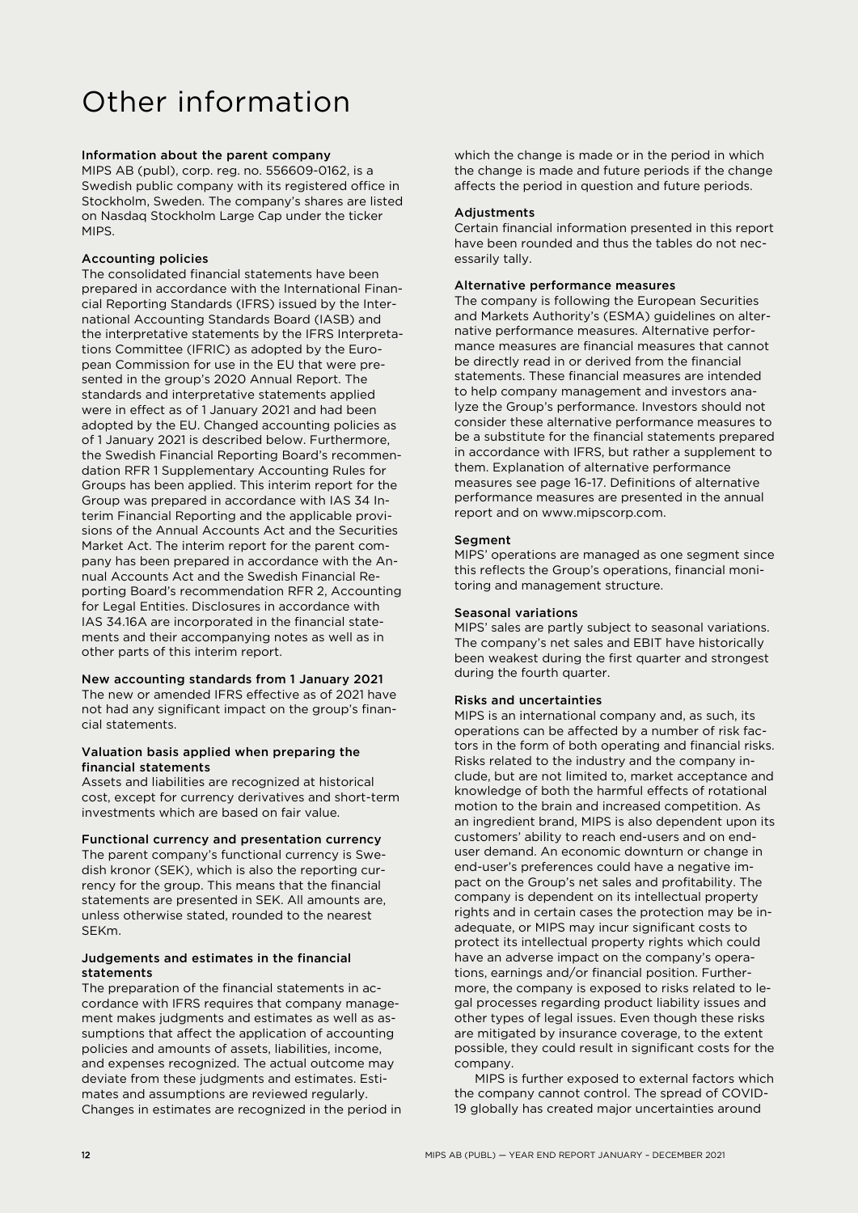### Other information

#### Information about the parent company

MIPS AB (publ), corp. reg. no. 556609-0162, is a Swedish public company with its registered office in Stockholm, Sweden. The company's shares are listed on Nasdaq Stockholm Large Cap under the ticker MIPS.

#### Accounting policies

The consolidated financial statements have been prepared in accordance with the International Financial Reporting Standards (IFRS) issued by the International Accounting Standards Board (IASB) and the interpretative statements by the IFRS Interpretations Committee (IFRIC) as adopted by the European Commission for use in the EU that were presented in the group's 2020 Annual Report. The standards and interpretative statements applied were in effect as of 1 January 2021 and had been adopted by the EU. Changed accounting policies as of 1 January 2021 is described below. Furthermore, the Swedish Financial Reporting Board's recommendation RFR 1 Supplementary Accounting Rules for Groups has been applied. This interim report for the Group was prepared in accordance with IAS 34 Interim Financial Reporting and the applicable provisions of the Annual Accounts Act and the Securities Market Act. The interim report for the parent company has been prepared in accordance with the Annual Accounts Act and the Swedish Financial Reporting Board's recommendation RFR 2, Accounting for Legal Entities. Disclosures in accordance with IAS 34.16A are incorporated in the financial statements and their accompanying notes as well as in other parts of this interim report.

#### New accounting standards from 1 January 2021

The new or amended IFRS effective as of 2021 have not had any significant impact on the group's financial statements.

#### Valuation basis applied when preparing the financial statements

Assets and liabilities are recognized at historical cost, except for currency derivatives and short-term investments which are based on fair value.

#### Functional currency and presentation currency

The parent company's functional currency is Swedish kronor (SEK), which is also the reporting currency for the group. This means that the financial statements are presented in SEK. All amounts are, unless otherwise stated, rounded to the nearest SEKm.

#### Judgements and estimates in the financial statements

The preparation of the financial statements in accordance with IFRS requires that company management makes judgments and estimates as well as assumptions that affect the application of accounting policies and amounts of assets, liabilities, income, and expenses recognized. The actual outcome may deviate from these judgments and estimates. Estimates and assumptions are reviewed regularly. Changes in estimates are recognized in the period in

which the change is made or in the period in which the change is made and future periods if the change affects the period in question and future periods.

#### **Adjustments**

Certain financial information presented in this report have been rounded and thus the tables do not necessarily tally.

#### Alternative performance measures

The company is following the European Securities and Markets Authority's (ESMA) guidelines on alternative performance measures. Alternative performance measures are financial measures that cannot be directly read in or derived from the financial statements. These financial measures are intended to help company management and investors analyze the Group's performance. Investors should not consider these alternative performance measures to be a substitute for the financial statements prepared in accordance with IFRS, but rather a supplement to them. Explanation of alternative performance measures see page 16-17. Definitions of alternative performance measures are presented in the annual report and on www.mipscorp.com.

#### Segment

MIPS' operations are managed as one segment since this reflects the Group's operations, financial monitoring and management structure.

#### Seasonal variations

MIPS' sales are partly subject to seasonal variations. The company's net sales and EBIT have historically been weakest during the first quarter and strongest during the fourth quarter.

#### Risks and uncertainties

MIPS is an international company and, as such, its operations can be affected by a number of risk factors in the form of both operating and financial risks. Risks related to the industry and the company include, but are not limited to, market acceptance and knowledge of both the harmful effects of rotational motion to the brain and increased competition. As an ingredient brand, MIPS is also dependent upon its customers' ability to reach end-users and on enduser demand. An economic downturn or change in end-user's preferences could have a negative impact on the Group's net sales and profitability. The company is dependent on its intellectual property rights and in certain cases the protection may be inadequate, or MIPS may incur significant costs to protect its intellectual property rights which could have an adverse impact on the company's operations, earnings and/or financial position. Furthermore, the company is exposed to risks related to legal processes regarding product liability issues and other types of legal issues. Even though these risks are mitigated by insurance coverage, to the extent possible, they could result in significant costs for the company.

MIPS is further exposed to external factors which the company cannot control. The spread of COVID-19 globally has created major uncertainties around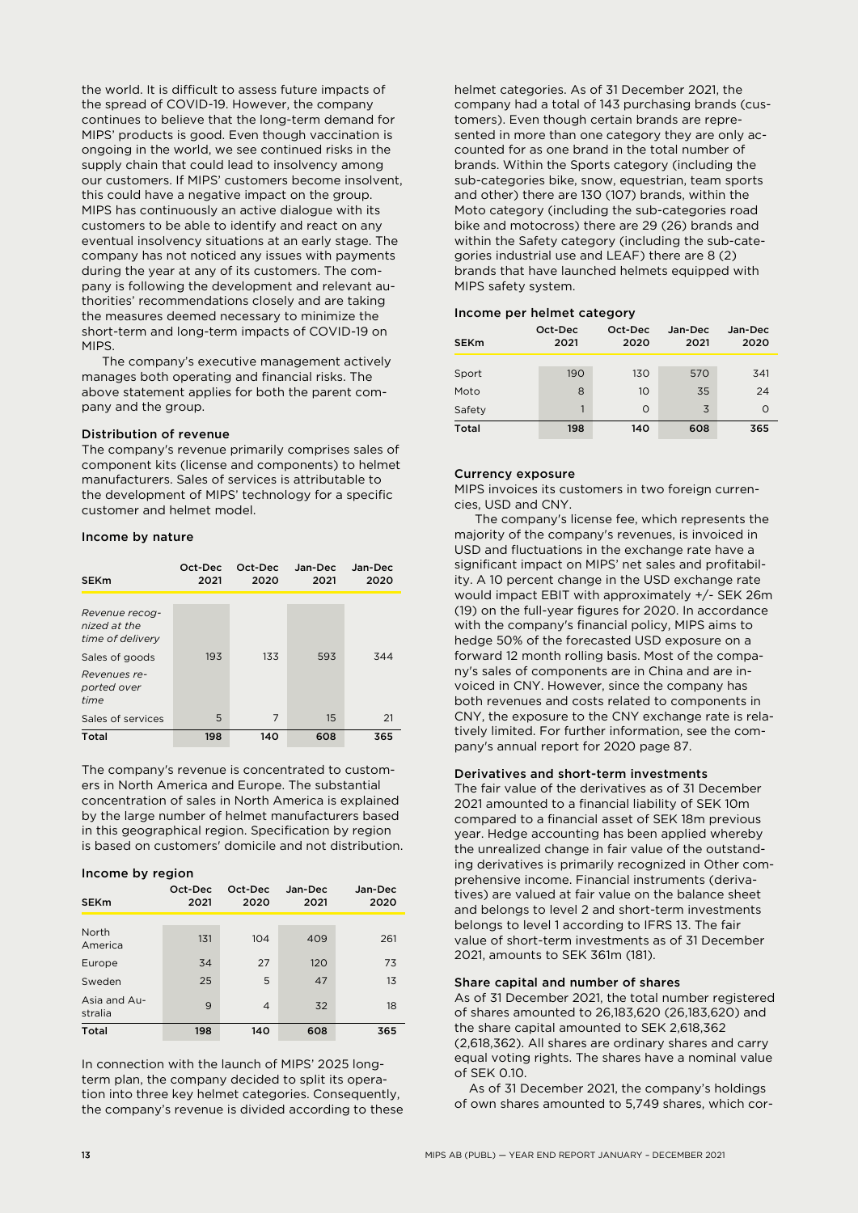the world. It is difficult to assess future impacts of the spread of COVID-19. However, the company continues to believe that the long-term demand for MIPS' products is good. Even though vaccination is ongoing in the world, we see continued risks in the supply chain that could lead to insolvency among our customers. If MIPS' customers become insolvent, this could have a negative impact on the group. MIPS has continuously an active dialogue with its customers to be able to identify and react on any eventual insolvency situations at an early stage. The company has not noticed any issues with payments during the year at any of its customers. The company is following the development and relevant authorities' recommendations closely and are taking the measures deemed necessary to minimize the short-term and long-term impacts of COVID-19 on MIPS.

The company's executive management actively manages both operating and financial risks. The above statement applies for both the parent company and the group.

#### Distribution of revenue

The company's revenue primarily comprises sales of component kits (license and components) to helmet manufacturers. Sales of services is attributable to the development of MIPS' technology for a specific customer and helmet model.

#### Income by nature

| <b>SEKm</b>                                        | Oct-Dec<br>2021 | Oct-Dec<br>2020 | Jan-Dec<br>2021 | Jan-Dec<br>2020 |
|----------------------------------------------------|-----------------|-----------------|-----------------|-----------------|
| Revenue recog-<br>nized at the<br>time of delivery |                 |                 |                 |                 |
| Sales of goods                                     | 193             | 133             | 593             | 344             |
| Revenues re-<br>ported over<br>time                |                 |                 |                 |                 |
| Sales of services                                  | 5               | 7               | 15              | 21              |
| Total                                              | 198             | 140             | 608             | 365             |

The company's revenue is concentrated to customers in North America and Europe. The substantial concentration of sales in North America is explained by the large number of helmet manufacturers based in this geographical region. Specification by region is based on customers' domicile and not distribution.

#### Income by region

| <b>SEKm</b>             | Oct-Dec<br>2021 | Oct-Dec<br>2020 | Jan-Dec<br>2021 | Jan-Dec<br>2020 |
|-------------------------|-----------------|-----------------|-----------------|-----------------|
| North<br>America        | 131             | 104             | 409             | 261             |
| Europe                  | 34              | 27              | 120             | 73              |
| Sweden                  | 25              | 5               | 47              | 13              |
| Asia and Au-<br>stralia | 9               | $\overline{4}$  | 32              | 18              |
| <b>Total</b>            | 198             | 140             | 608             | 365             |

In connection with the launch of MIPS' 2025 longterm plan, the company decided to split its operation into three key helmet categories. Consequently, the company's revenue is divided according to these helmet categories. As of 31 December 2021, the company had a total of 143 purchasing brands (customers). Even though certain brands are represented in more than one category they are only accounted for as one brand in the total number of brands. Within the Sports category (including the sub-categories bike, snow, equestrian, team sports and other) there are 130 (107) brands, within the Moto category (including the sub-categories road bike and motocross) there are 29 (26) brands and within the Safety category (including the sub-categories industrial use and LEAF) there are 8 (2) brands that have launched helmets equipped with MIPS safety system.

#### Income per helmet category

| <b>SEKm</b>  | Oct-Dec | Oct-Dec  | Jan-Dec | Jan-Dec  |  |  |
|--------------|---------|----------|---------|----------|--|--|
|              | 2021    | 2020     | 2021    | 2020     |  |  |
| Sport        | 190     | 130      | 570     | 341      |  |  |
| Moto         | 8       | 10       | 35      | 24       |  |  |
| Safety       | 1       | $\Omega$ | 3       | $\Omega$ |  |  |
| <b>Total</b> | 198     | 140      | 608     | 365      |  |  |

#### Currency exposure

MIPS invoices its customers in two foreign currencies, USD and CNY.

The company's license fee, which represents the majority of the company's revenues, is invoiced in USD and fluctuations in the exchange rate have a significant impact on MIPS' net sales and profitability. A 10 percent change in the USD exchange rate would impact EBIT with approximately +/- SEK 26m (19) on the full-year figures for 2020. In accordance with the company's financial policy, MIPS aims to hedge 50% of the forecasted USD exposure on a forward 12 month rolling basis. Most of the company's sales of components are in China and are invoiced in CNY. However, since the company has both revenues and costs related to components in CNY, the exposure to the CNY exchange rate is relatively limited. For further information, see the company's annual report for 2020 page 87.

#### Derivatives and short-term investments

The fair value of the derivatives as of 31 December 2021 amounted to a financial liability of SEK 10m compared to a financial asset of SEK 18m previous year. Hedge accounting has been applied whereby the unrealized change in fair value of the outstanding derivatives is primarily recognized in Other comprehensive income. Financial instruments (derivatives) are valued at fair value on the balance sheet and belongs to level 2 and short-term investments belongs to level 1 according to IFRS 13. The fair value of short-term investments as of 31 December 2021, amounts to SEK 361m (181).

#### Share capital and number of shares

As of 31 December 2021, the total number registered of shares amounted to 26,183,620 (26,183,620) and the share capital amounted to SEK 2,618,362 (2,618,362). All shares are ordinary shares and carry equal voting rights. The shares have a nominal value of SEK 0.10.

 As of 31 December 2021, the company's holdings of own shares amounted to 5,749 shares, which cor-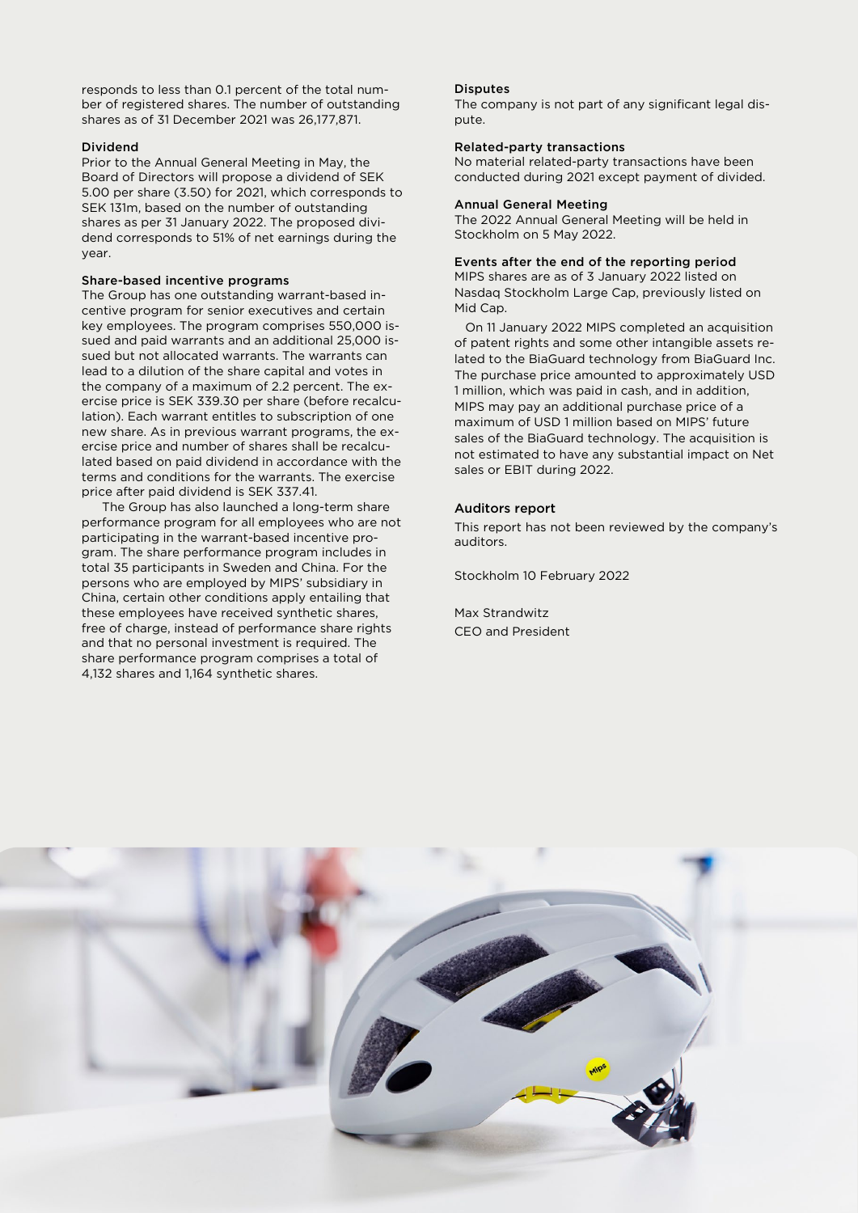responds to less than 0.1 percent of the total number of registered shares. The number of outstanding shares as of 31 December 2021 was 26,177,871.

#### Dividend

Prior to the Annual General Meeting in May, the Board of Directors will propose a dividend of SEK 5.00 per share (3.50) for 2021, which corresponds to SEK 131m, based on the number of outstanding shares as per 31 January 2022. The proposed dividend corresponds to 51% of net earnings during the year.

#### Share-based incentive programs

The Group has one outstanding warrant-based incentive program for senior executives and certain key employees. The program comprises 550,000 issued and paid warrants and an additional 25,000 issued but not allocated warrants. The warrants can lead to a dilution of the share capital and votes in the company of a maximum of 2.2 percent. The exercise price is SEK 339.30 per share (before recalculation). Each warrant entitles to subscription of one new share. As in previous warrant programs, the exercise price and number of shares shall be recalculated based on paid dividend in accordance with the terms and conditions for the warrants. The exercise price after paid dividend is SEK 337.41.

The Group has also launched a long-term share performance program for all employees who are not participating in the warrant-based incentive program. The share performance program includes in total 35 participants in Sweden and China. For the persons who are employed by MIPS' subsidiary in China, certain other conditions apply entailing that these employees have received synthetic shares, free of charge, instead of performance share rights and that no personal investment is required. The share performance program comprises a total of 4,132 shares and 1,164 synthetic shares.

#### Disputes

The company is not part of any significant legal dispute.

#### Related-party transactions

No material related-party transactions have been conducted during 2021 except payment of divided.

#### Annual General Meeting

The 2022 Annual General Meeting will be held in Stockholm on 5 May 2022.

#### Events after the end of the reporting period

MIPS shares are as of 3 January 2022 listed on Nasdaq Stockholm Large Cap, previously listed on Mid Cap.

 On 11 January 2022 MIPS completed an acquisition of patent rights and some other intangible assets related to the BiaGuard technology from BiaGuard Inc. The purchase price amounted to approximately USD 1 million, which was paid in cash, and in addition, MIPS may pay an additional purchase price of a maximum of USD 1 million based on MIPS' future sales of the BiaGuard technology. The acquisition is not estimated to have any substantial impact on Net sales or EBIT during 2022.

#### Auditors report

This report has not been reviewed by the company's auditors.

Stockholm 10 February 2022

Max Strandwitz CEO and President

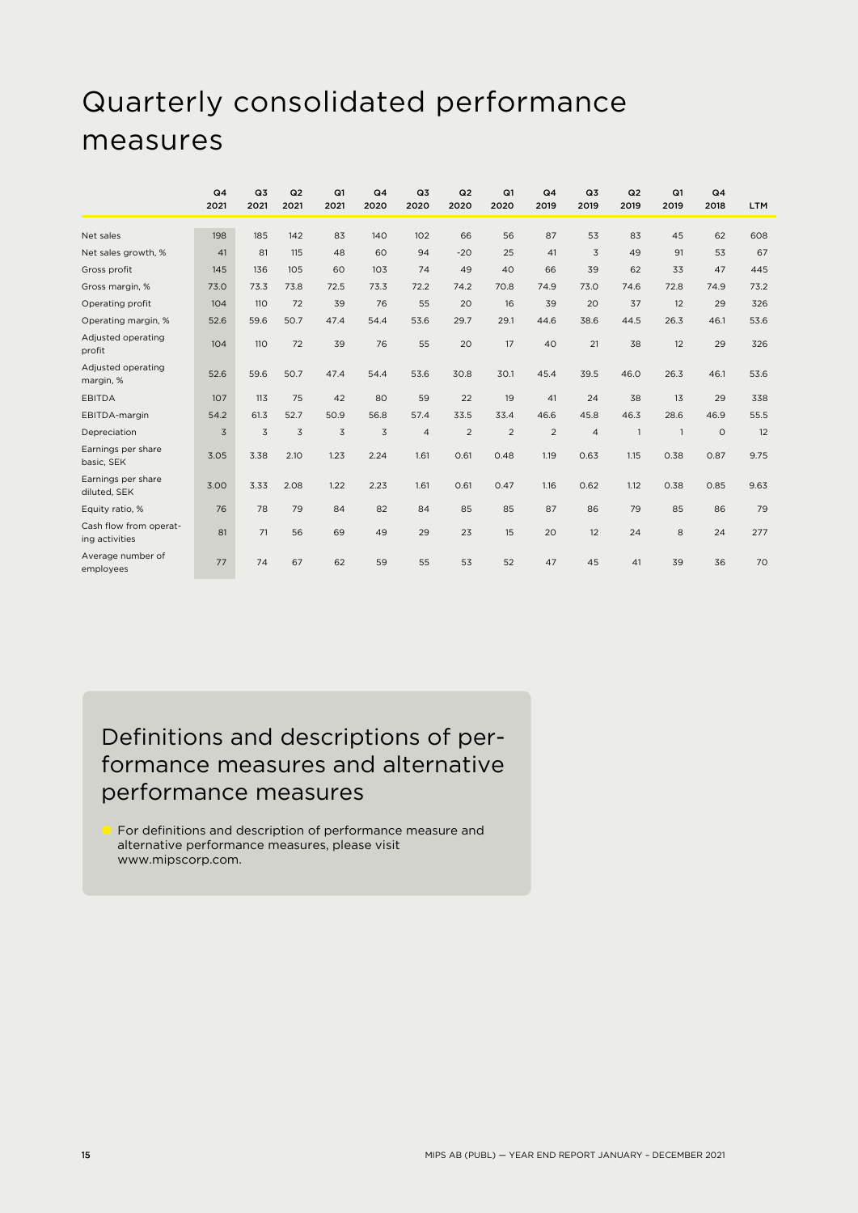### Quarterly consolidated performance measures

|                                          | Q <sub>4</sub> | Q3   | Q2             | Q1   | Q <sub>4</sub> | Q <sub>3</sub> | Q2    | Q1             | Q <sub>4</sub> | Q3             | Q2             | Q1             | Q <sub>4</sub> |            |
|------------------------------------------|----------------|------|----------------|------|----------------|----------------|-------|----------------|----------------|----------------|----------------|----------------|----------------|------------|
|                                          | 2021           | 2021 | 2021           | 2021 | 2020           | 2020           | 2020  | 2020           | 2019           | 2019           | 2019           | 2019           | 2018           | <b>LTM</b> |
| Net sales                                | 198            | 185  | 142            | 83   | 140            | 102            | 66    | 56             | 87             | 53             | 83             | 45             | 62             | 608        |
| Net sales growth, %                      | 41             | 81   | 115            | 48   | 60             | 94             | $-20$ | 25             | 41             | $\overline{3}$ | 49             | 91             | 53             | 67         |
| Gross profit                             | 145            | 136  | 105            | 60   | 103            | 74             | 49    | 40             | 66             | 39             | 62             | 33             | 47             | 445        |
| Gross margin, %                          | 73.0           | 73.3 | 73.8           | 72.5 | 73.3           | 72.2           | 74.2  | 70.8           | 74.9           | 73.0           | 74.6           | 72.8           | 74.9           | 73.2       |
| Operating profit                         | 104            | 110  | 72             | 39   | 76             | 55             | 20    | 16             | 39             | 20             | 37             | 12             | 29             | 326        |
| Operating margin, %                      | 52.6           | 59.6 | 50.7           | 47.4 | 54.4           | 53.6           | 29.7  | 29.1           | 44.6           | 38.6           | 44.5           | 26.3           | 46.1           | 53.6       |
| Adjusted operating<br>profit             | 104            | 110  | 72             | 39   | 76             | 55             | 20    | 17             | 40             | 21             | 38             | 12             | 29             | 326        |
| Adjusted operating<br>margin, %          | 52.6           | 59.6 | 50.7           | 47.4 | 54.4           | 53.6           | 30.8  | 30.1           | 45.4           | 39.5           | 46.0           | 26.3           | 46.1           | 53.6       |
| <b>EBITDA</b>                            | 107            | 113  | 75             | 42   | 80             | 59             | 22    | 19             | 41             | 24             | 38             | 13             | 29             | 338        |
| EBITDA-margin                            | 54.2           | 61.3 | 52.7           | 50.9 | 56.8           | 57.4           | 33.5  | 33.4           | 46.6           | 45.8           | 46.3           | 28.6           | 46.9           | 55.5       |
| Depreciation                             | $\overline{3}$ | 3    | $\overline{3}$ | 3    | $\overline{3}$ | $\overline{4}$ | 2     | $\overline{2}$ | $\overline{2}$ | $\overline{4}$ | $\overline{1}$ | $\overline{1}$ | $\circ$        | 12         |
| Earnings per share<br>basic, SEK         | 3.05           | 3.38 | 2.10           | 1.23 | 2.24           | 1.61           | 0.61  | 0.48           | 1.19           | 0.63           | 1.15           | 0.38           | 0.87           | 9.75       |
| Earnings per share<br>diluted, SEK       | 3.00           | 3.33 | 2.08           | 1.22 | 2.23           | 1.61           | 0.61  | 0.47           | 1.16           | 0.62           | 1.12           | 0.38           | 0.85           | 9.63       |
| Equity ratio, %                          | 76             | 78   | 79             | 84   | 82             | 84             | 85    | 85             | 87             | 86             | 79             | 85             | 86             | 79         |
| Cash flow from operat-<br>ing activities | 81             | 71   | 56             | 69   | 49             | 29             | 23    | 15             | 20             | 12             | 24             | 8              | 24             | 277        |
| Average number of<br>employees           | 77             | 74   | 67             | 62   | 59             | 55             | 53    | 52             | 47             | 45             | 41             | 39             | 36             | 70         |

### Definitions and descriptions of performance measures and alternative performance measures

 For definitions and description of performance measure and alternative performance measures, please visit www.mipscorp.com.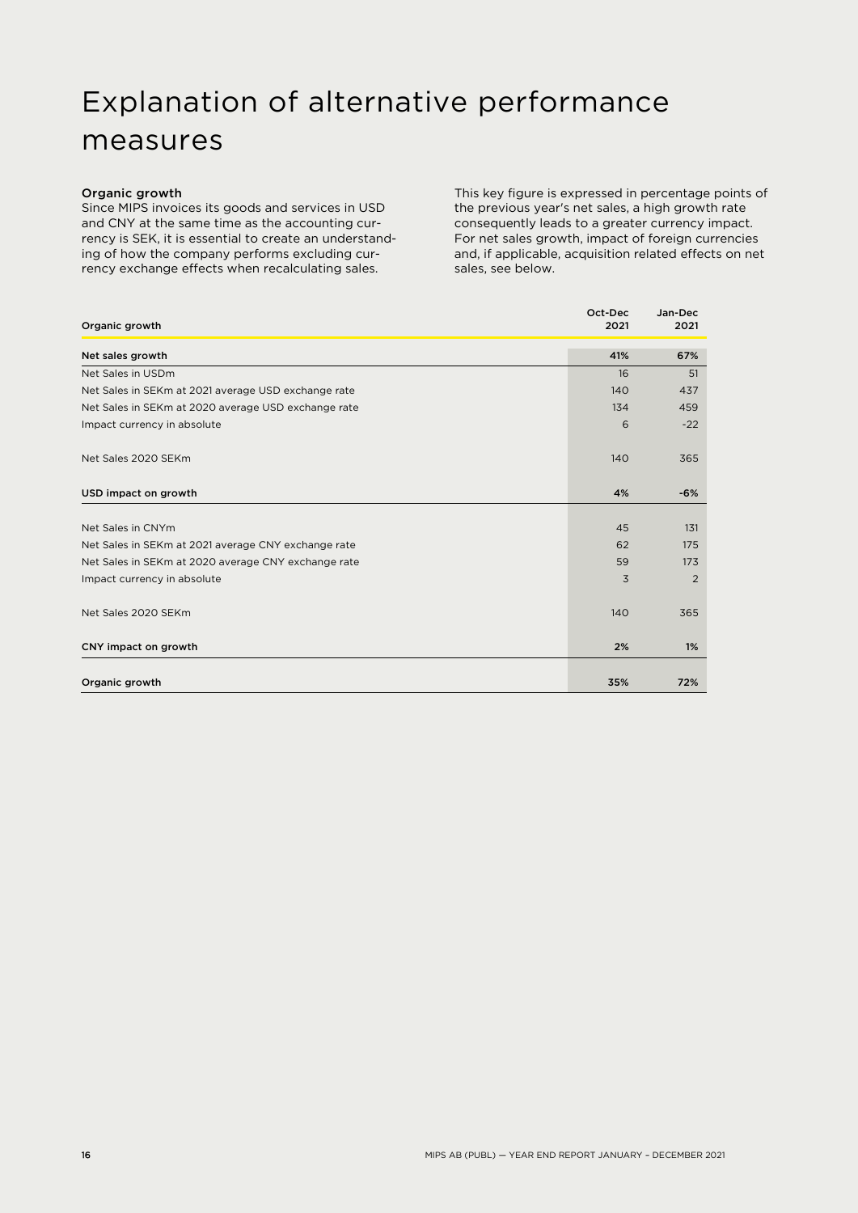### Explanation of alternative performance measures

#### Organic growth

Since MIPS invoices its goods and services in USD and CNY at the same time as the accounting currency is SEK, it is essential to create an understanding of how the company performs excluding currency exchange effects when recalculating sales.

This key figure is expressed in percentage points of the previous year's net sales, a high growth rate consequently leads to a greater currency impact. For net sales growth, impact of foreign currencies and, if applicable, acquisition related effects on net sales, see below.

| Organic growth                                      | Oct-Dec<br>2021 | Jan-Dec<br>2021 |
|-----------------------------------------------------|-----------------|-----------------|
| Net sales growth                                    | 41%             | 67%             |
| Net Sales in USDm                                   | 16              | 51              |
| Net Sales in SEKm at 2021 average USD exchange rate | 140             | 437             |
| Net Sales in SEKm at 2020 average USD exchange rate | 134             | 459             |
| Impact currency in absolute                         | 6               | $-22$           |
| Net Sales 2020 SEKm                                 | 140             | 365             |
| USD impact on growth                                | 4%              | $-6%$           |
|                                                     |                 |                 |
| Net Sales in CNYm                                   | 45              | 131             |
| Net Sales in SEKm at 2021 average CNY exchange rate | 62              | 175             |
| Net Sales in SEKm at 2020 average CNY exchange rate | 59              | 173             |
| Impact currency in absolute                         | 3               | $\overline{2}$  |
| Net Sales 2020 SEKm                                 | 140             | 365             |
| CNY impact on growth                                | 2%              | 1%              |
| Organic growth                                      | 35%             | 72%             |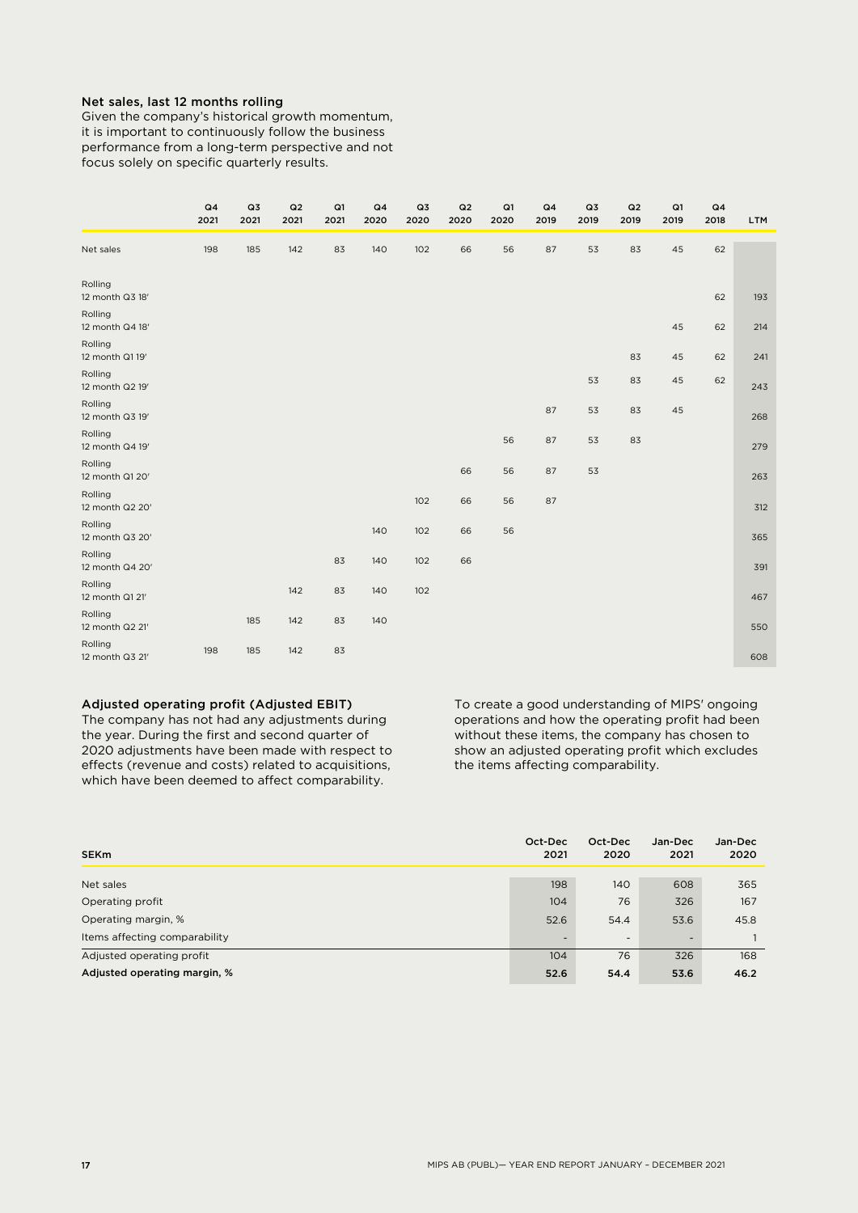#### Net sales, last 12 months rolling

Given the company's historical growth momentum, it is important to continuously follow the business performance from a long-term perspective and not focus solely on specific quarterly results.

|                            | Q <sub>4</sub><br>2021 | Q3<br>2021 | Q2<br>2021 | Q1<br>2021 | Q <sub>4</sub><br>2020 | Q3<br>2020 | Q2<br>2020 | Q1<br>2020 | Q <sub>4</sub><br>2019 | Q3<br>2019 | Q2<br>2019 | Q1<br>2019 | Q <sub>4</sub><br>2018 | <b>LTM</b> |
|----------------------------|------------------------|------------|------------|------------|------------------------|------------|------------|------------|------------------------|------------|------------|------------|------------------------|------------|
| Net sales                  | 198                    | 185        | 142        | 83         | 140                    | 102        | 66         | 56         | 87                     | 53         | 83         | 45         | 62                     |            |
| Rolling<br>12 month Q3 18' |                        |            |            |            |                        |            |            |            |                        |            |            |            | 62                     | 193        |
| Rolling<br>12 month Q4 18' |                        |            |            |            |                        |            |            |            |                        |            |            | 45         | 62                     | 214        |
| Rolling<br>12 month Q1 19' |                        |            |            |            |                        |            |            |            |                        |            | 83         | 45         | 62                     | 241        |
| Rolling<br>12 month Q2 19' |                        |            |            |            |                        |            |            |            |                        | 53         | 83         | 45         | 62                     | 243        |
| Rolling<br>12 month Q3 19' |                        |            |            |            |                        |            |            |            | 87                     | 53         | 83         | 45         |                        | 268        |
| Rolling<br>12 month Q4 19' |                        |            |            |            |                        |            |            | 56         | 87                     | 53         | 83         |            |                        | 279        |
| Rolling<br>12 month Q1 20' |                        |            |            |            |                        |            | 66         | 56         | 87                     | 53         |            |            |                        | 263        |
| Rolling<br>12 month Q2 20' |                        |            |            |            |                        | 102        | 66         | 56         | 87                     |            |            |            |                        | 312        |
| Rolling<br>12 month Q3 20' |                        |            |            |            | 140                    | 102        | 66         | 56         |                        |            |            |            |                        | 365        |
| Rolling<br>12 month Q4 20' |                        |            |            | 83         | 140                    | 102        | 66         |            |                        |            |            |            |                        | 391        |
| Rolling<br>12 month Q1 21' |                        |            | 142        | 83         | 140                    | 102        |            |            |                        |            |            |            |                        | 467        |
| Rolling<br>12 month Q2 21' |                        | 185        | 142        | 83         | 140                    |            |            |            |                        |            |            |            |                        | 550        |
| Rolling<br>12 month Q3 21' | 198                    | 185        | 142        | 83         |                        |            |            |            |                        |            |            |            |                        | 608        |

#### Adjusted operating profit (Adjusted EBIT)

The company has not had any adjustments during the year. During the first and second quarter of 2020 adjustments have been made with respect to effects (revenue and costs) related to acquisitions, which have been deemed to affect comparability.

To create a good understanding of MIPS' ongoing operations and how the operating profit had been without these items, the company has chosen to show an adjusted operating profit which excludes the items affecting comparability.

| <b>SEKm</b>                   | Oct-Dec<br>2021          | Oct-Dec<br>2020 | Jan-Dec<br>2021 | Jan-Dec<br>2020 |
|-------------------------------|--------------------------|-----------------|-----------------|-----------------|
| Net sales                     | 198                      | 140             | 608             | 365             |
| Operating profit              | 104                      | 76              | 326             | 167             |
| Operating margin, %           | 52.6                     | 54.4            | 53.6            | 45.8            |
| Items affecting comparability | $\overline{\phantom{0}}$ | -               | -               |                 |
| Adjusted operating profit     | 104                      | 76              | 326             | 168             |
| Adjusted operating margin, %  | 52.6                     | 54.4            | 53.6            | 46.2            |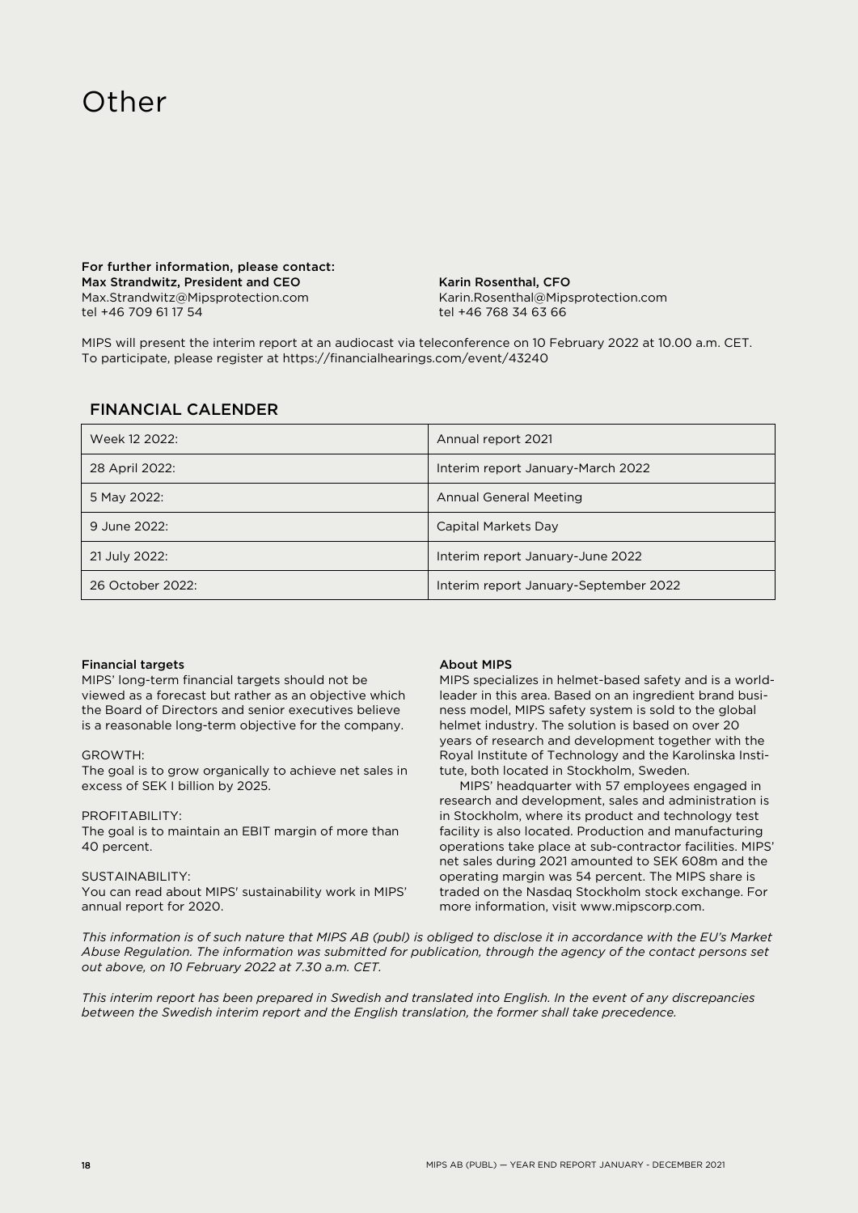### **Other**

For further information, please contact: Max Strandwitz, President and CEO Max.Strandwitz@Mipsprotection.com tel +46 709 61 17 54

Karin Rosenthal, CFO Karin.Rosenthal@Mipsprotection.com tel +46 768 34 63 66

MIPS will present the interim report at an audiocast via teleconference on 10 February 2022 at 10.00 a.m. CET. To participate, please register at https://financialhearings.com/event/43240

#### FINANCIAL CALENDER

| Week 12 2022:    | Annual report 2021                    |
|------------------|---------------------------------------|
| 28 April 2022:   | Interim report January-March 2022     |
| 5 May 2022:      | Annual General Meeting                |
| 9 June 2022:     | Capital Markets Day                   |
| 21 July 2022:    | Interim report January-June 2022      |
| 26 October 2022: | Interim report January-September 2022 |

#### Financial targets

MIPS' long-term financial targets should not be viewed as a forecast but rather as an objective which the Board of Directors and senior executives believe is a reasonable long-term objective for the company.

#### GROWTH:

The goal is to grow organically to achieve net sales in excess of SEK I billion by 2025.

#### PROFITABILITY:

The goal is to maintain an EBIT margin of more than 40 percent.

#### SUSTAINABILITY:

You can read about MIPS' sustainability work in MIPS' annual report for 2020.

#### About MIPS

MIPS specializes in helmet-based safety and is a worldleader in this area. Based on an ingredient brand business model, MIPS safety system is sold to the global helmet industry. The solution is based on over 20 years of research and development together with the Royal Institute of Technology and the Karolinska Institute, both located in Stockholm, Sweden.

MIPS' headquarter with 57 employees engaged in research and development, sales and administration is in Stockholm, where its product and technology test facility is also located. Production and manufacturing operations take place at sub-contractor facilities. MIPS' net sales during 2021 amounted to SEK 608m and the operating margin was 54 percent. The MIPS share is traded on the Nasdaq Stockholm stock exchange. For more information, visit www.mipscorp.com.

*This information is of such nature that MIPS AB (publ) is obliged to disclose it in accordance with the EU's Market Abuse Regulation. The information was submitted for publication, through the agency of the contact persons set out above, on 10 February 2022 at 7.30 a.m. CET.*

*This interim report has been prepared in Swedish and translated into English. In the event of any discrepancies between the Swedish interim report and the English translation, the former shall take precedence.*